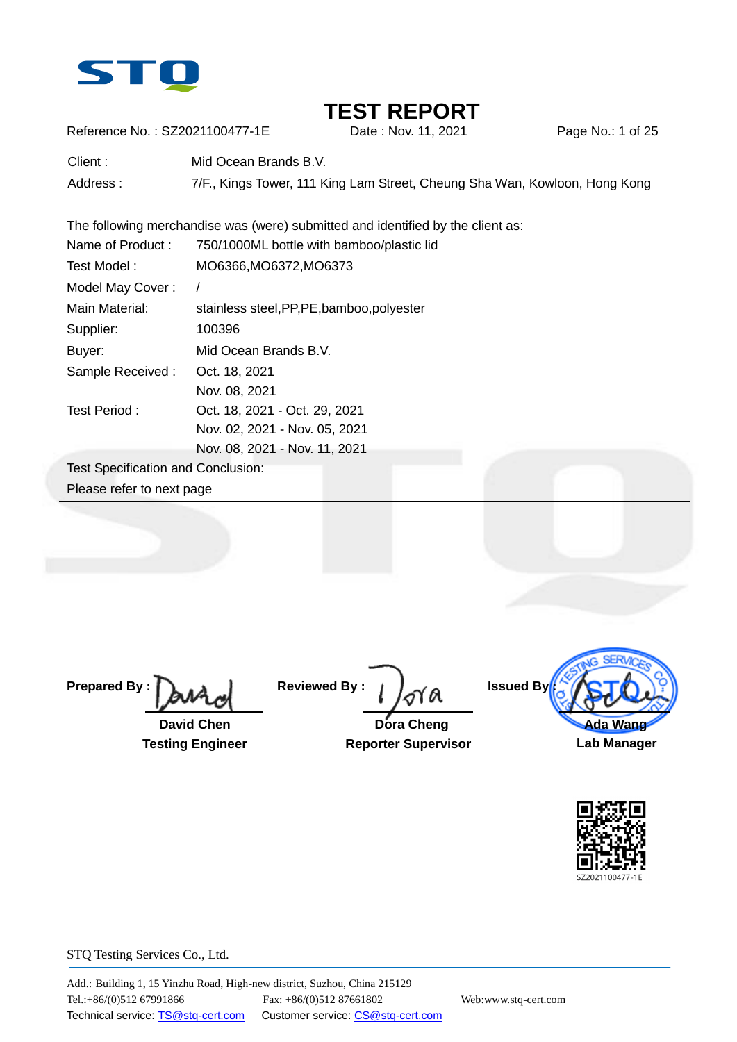

Reference No.: SZ2021100477-1E Date: Nov. 11, 2021 Page No.: 1 of 25

Client : Mid Ocean Brands B.V. Address : 7/F., Kings Tower, 111 King Lam Street, Cheung Sha Wan, Kowloon, Hong Kong

The following merchandise was (were) submitted and identified by the client as:

| Name of Product:                          | 750/1000ML bottle with bamboo/plastic lid  |
|-------------------------------------------|--------------------------------------------|
| Test Model:                               | MO6366, MO6372, MO6373                     |
| Model May Cover:                          |                                            |
| Main Material:                            | stainless steel, PP, PE, bamboo, polyester |
| Supplier:                                 | 100396                                     |
| Buyer:                                    | Mid Ocean Brands B.V.                      |
| Sample Received:                          | Oct. 18, 2021                              |
|                                           | Nov. 08, 2021                              |
| Test Period:                              | Oct. 18, 2021 - Oct. 29, 2021              |
|                                           | Nov. 02, 2021 - Nov. 05, 2021              |
|                                           | Nov. 08, 2021 - Nov. 11, 2021              |
| <b>Test Specification and Conclusion:</b> |                                            |
| Please refer to next page                 |                                            |
|                                           |                                            |

**Prepared By :**

 **David Chen Testing Engineer**

**Reviewed By :**

 **Dora Cheng Reporter Supervisor**



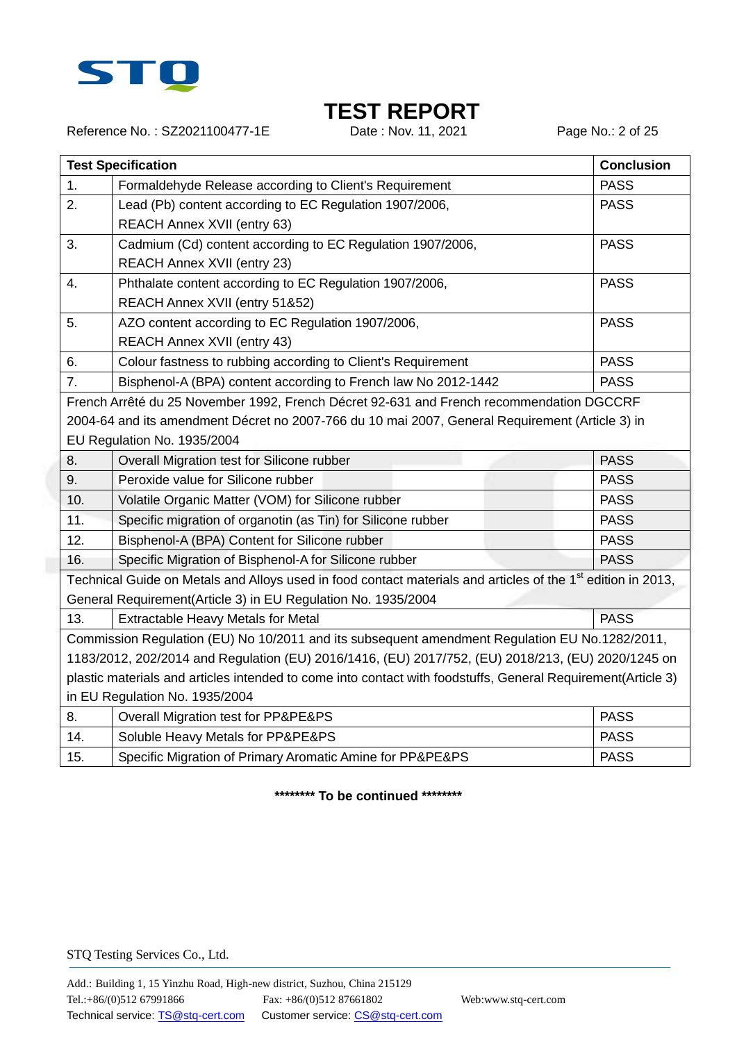

Reference No.: SZ2021100477-1E Date : Nov. 11, 2021 Page No.: 2 of 25

|                                                                                                    | <b>Test Specification</b>                                                                                                |             |  |  |  |
|----------------------------------------------------------------------------------------------------|--------------------------------------------------------------------------------------------------------------------------|-------------|--|--|--|
| 1.                                                                                                 | Formaldehyde Release according to Client's Requirement                                                                   | <b>PASS</b> |  |  |  |
| 2.                                                                                                 | Lead (Pb) content according to EC Regulation 1907/2006,                                                                  | <b>PASS</b> |  |  |  |
|                                                                                                    | REACH Annex XVII (entry 63)                                                                                              |             |  |  |  |
| 3.                                                                                                 | Cadmium (Cd) content according to EC Regulation 1907/2006,                                                               | <b>PASS</b> |  |  |  |
|                                                                                                    | REACH Annex XVII (entry 23)                                                                                              |             |  |  |  |
| 4.                                                                                                 | Phthalate content according to EC Regulation 1907/2006,                                                                  | <b>PASS</b> |  |  |  |
|                                                                                                    | REACH Annex XVII (entry 51&52)                                                                                           |             |  |  |  |
| 5.                                                                                                 | AZO content according to EC Regulation 1907/2006,                                                                        | <b>PASS</b> |  |  |  |
|                                                                                                    | REACH Annex XVII (entry 43)                                                                                              |             |  |  |  |
| 6.                                                                                                 | Colour fastness to rubbing according to Client's Requirement                                                             | <b>PASS</b> |  |  |  |
| 7.                                                                                                 | Bisphenol-A (BPA) content according to French law No 2012-1442                                                           | <b>PASS</b> |  |  |  |
|                                                                                                    | French Arrêté du 25 November 1992, French Décret 92-631 and French recommendation DGCCRF                                 |             |  |  |  |
|                                                                                                    | 2004-64 and its amendment Décret no 2007-766 du 10 mai 2007, General Requirement (Article 3) in                          |             |  |  |  |
|                                                                                                    | EU Regulation No. 1935/2004                                                                                              |             |  |  |  |
| 8.                                                                                                 | Overall Migration test for Silicone rubber                                                                               | <b>PASS</b> |  |  |  |
| 9.                                                                                                 | Peroxide value for Silicone rubber                                                                                       | <b>PASS</b> |  |  |  |
| 10.                                                                                                | Volatile Organic Matter (VOM) for Silicone rubber                                                                        | <b>PASS</b> |  |  |  |
| 11.                                                                                                | Specific migration of organotin (as Tin) for Silicone rubber                                                             | <b>PASS</b> |  |  |  |
| 12.                                                                                                | Bisphenol-A (BPA) Content for Silicone rubber                                                                            | <b>PASS</b> |  |  |  |
| 16.                                                                                                | Specific Migration of Bisphenol-A for Silicone rubber                                                                    | <b>PASS</b> |  |  |  |
|                                                                                                    | Technical Guide on Metals and Alloys used in food contact materials and articles of the 1 <sup>st</sup> edition in 2013, |             |  |  |  |
|                                                                                                    | General Requirement(Article 3) in EU Regulation No. 1935/2004                                                            |             |  |  |  |
| 13.                                                                                                | Extractable Heavy Metals for Metal                                                                                       | <b>PASS</b> |  |  |  |
|                                                                                                    | Commission Regulation (EU) No 10/2011 and its subsequent amendment Regulation EU No.1282/2011,                           |             |  |  |  |
| 1183/2012, 202/2014 and Regulation (EU) 2016/1416, (EU) 2017/752, (EU) 2018/213, (EU) 2020/1245 on |                                                                                                                          |             |  |  |  |
|                                                                                                    | plastic materials and articles intended to come into contact with foodstuffs, General Requirement(Article 3)             |             |  |  |  |
| in EU Regulation No. 1935/2004                                                                     |                                                                                                                          |             |  |  |  |
| 8.                                                                                                 | Overall Migration test for PP&PE&PS                                                                                      | <b>PASS</b> |  |  |  |
| 14.                                                                                                | Soluble Heavy Metals for PP&PE&PS                                                                                        | <b>PASS</b> |  |  |  |
| 15.                                                                                                | Specific Migration of Primary Aromatic Amine for PP&PE&PS                                                                | <b>PASS</b> |  |  |  |

**\*\*\*\*\*\*\*\* To be continued \*\*\*\*\*\*\*\***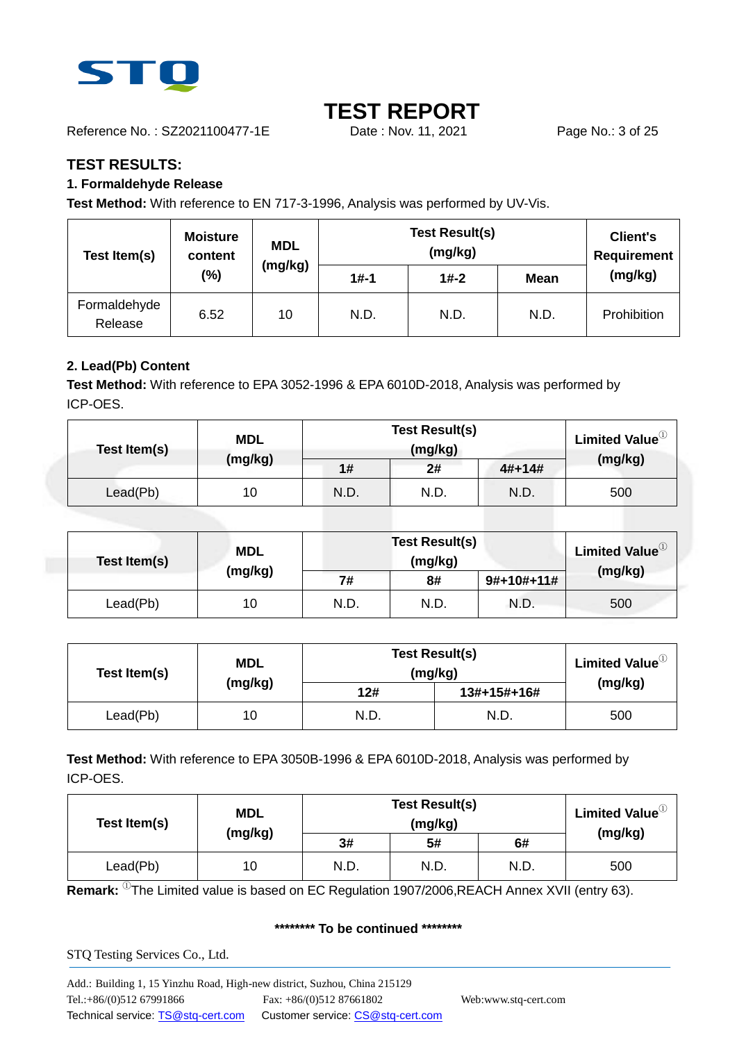

Reference No.: SZ2021100477-1E Date : Nov. 11, 2021 Page No.: 3 of 25

### **TEST RESULTS:**

### **1. Formaldehyde Release**

**Test Method:** With reference to EN 717-3-1996, Analysis was performed by UV-Vis.

| Test Item(s)            | <b>Moisture</b><br>content | <b>MDL</b> |          | <b>Client's</b><br>Requirement |             |             |
|-------------------------|----------------------------|------------|----------|--------------------------------|-------------|-------------|
|                         | (%)                        | (mg/kg)    | $1# - 1$ | $1# - 2$                       | <b>Mean</b> | (mg/kg)     |
| Formaldehyde<br>Release | 6.52                       | 10         | N.D.     | N.D.                           | N.D.        | Prohibition |

### **2. Lead(Pb) Content**

**Test Method:** With reference to EPA 3052-1996 & EPA 6010D-2018, Analysis was performed by ICP-OES.

| Test Item(s) | <b>MDL</b> | <b>Test Result(s)</b> | <b>Limited Value</b> <sup>10</sup> |          |         |
|--------------|------------|-----------------------|------------------------------------|----------|---------|
|              | (mg/kg)    | 1#                    | 2#                                 | $4#+14#$ | (mg/kg) |
| Lead(Pb)     | 10         | N.D.                  | N.D.                               | N.D.     | 500     |

| Test Item(s) | <b>MDL</b> | <b>Test Result(s)</b><br>(mg/kg) |      |              | Limited Value <sup>10</sup> |
|--------------|------------|----------------------------------|------|--------------|-----------------------------|
|              | (mg/kg)    | 7#                               | 8#   | $9#+10#+11#$ | (mg/kg)                     |
| Lead(Pb)     | 10         | N.D.                             | N.D. | N.D.         | 500                         |

| Test Item(s) | <b>MDL</b> | <b>Test Result(s)</b><br>(mg/kg) | Limited Value $^{\text{\tiny{\textregistered}}}$ |         |
|--------------|------------|----------------------------------|--------------------------------------------------|---------|
|              | (mg/kg)    | 12#                              | 13#+15#+16#                                      | (mg/kg) |
| Lead(Pb)     | 10         | N.D.                             | N.D.                                             | 500     |

**Test Method:** With reference to EPA 3050B-1996 & EPA 6010D-2018, Analysis was performed by ICP-OES.

| <b>MDL</b><br>Test Item(s) |         | <b>Test Result(s)</b> | Limited Value $^{\circledR}$ |      |         |
|----------------------------|---------|-----------------------|------------------------------|------|---------|
|                            | (mg/kg) | 3#                    | 5#                           | 6#   | (mg/kg) |
| Lead(Pb)                   | 10      | N.D.                  | N.D.                         | N.D. | 500     |

**Remark:** <sup>①</sup>The Limited value is based on EC Regulation 1907/2006,REACH Annex XVII (entry 63).

#### **\*\*\*\*\*\*\*\* To be continued \*\*\*\*\*\*\*\***

STQ Testing Services Co., Ltd.

Add.: Building 1, 15 Yinzhu Road, High-new district, Suzhou, China 215129 Tel.:+86/(0)512 67991866 Fax: +86/(0)512 87661802 Web:www.stq-cert.com Technical service: TS@stq-cert.com Customer service: CS@stq-cert.com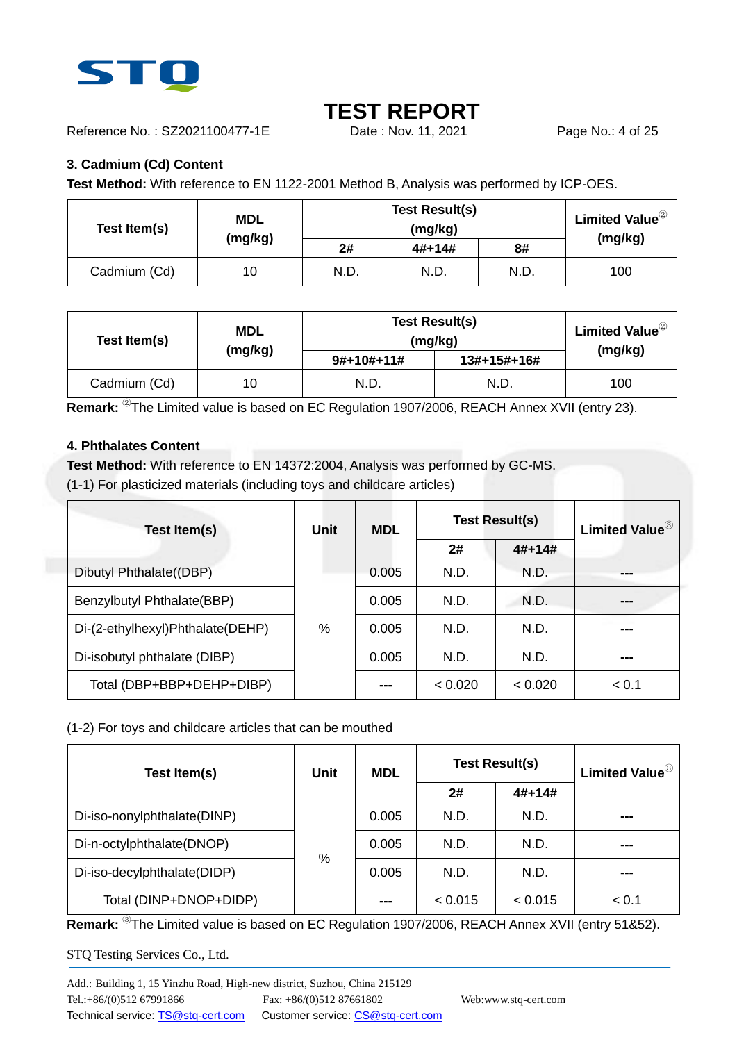

Reference No.: SZ2021100477-1E Date : Nov. 11, 2021 Page No.: 4 of 25

### **3. Cadmium (Cd) Content**

**Test Method:** With reference to EN 1122-2001 Method B, Analysis was performed by ICP-OES.

| Test Item(s) | <b>MDL</b> | <b>Test Result(s)</b> | Limited Value ${}^{{}^{{}^{{}^{\mathbb{C}}}}}$ |      |         |
|--------------|------------|-----------------------|------------------------------------------------|------|---------|
|              | (mg/kg)    | 2#                    | $4#+14#$                                       | 8#   | (mg/kg) |
| Cadmium (Cd) | 10         | N.D.                  | N.D.                                           | N.D. | 100     |

| Test Item(s) | <b>MDL</b> |              | <b>Test Result(s)</b><br>(mg/kg) |         |  |
|--------------|------------|--------------|----------------------------------|---------|--|
|              | (mg/kg)    | $9#+10#+11#$ | 13#+15#+16#                      | (mg/kg) |  |
| Cadmium (Cd) | 10         | N.D.         | N.D.                             | 100     |  |

**Remark:** <sup>②</sup>The Limited value is based on EC Regulation 1907/2006, REACH Annex XVII (entry 23).

#### **4. Phthalates Content**

**Test Method:** With reference to EN 14372:2004, Analysis was performed by GC-MS.

(1-1) For plasticized materials (including toys and childcare articles)

| Test Item(s)                     | Unit          | <b>MDL</b> | <b>Test Result(s)</b> | <b>Limited Value</b> <sup>3</sup> |       |
|----------------------------------|---------------|------------|-----------------------|-----------------------------------|-------|
|                                  |               |            | 2#                    | $4#+14#$                          |       |
| Dibutyl Phthalate((DBP)          |               | 0.005      | N.D.                  | N.D.                              |       |
| Benzylbutyl Phthalate(BBP)       |               | 0.005      | N.D.                  | N.D.                              | ---   |
| Di-(2-ethylhexyl)Phthalate(DEHP) | $\frac{0}{0}$ | 0.005      | N.D.                  | N.D.                              | ---   |
| Di-isobutyl phthalate (DIBP)     |               | 0.005      | N.D.                  | N.D.                              | ---   |
| Total (DBP+BBP+DEHP+DIBP)        |               | ---        | < 0.020               | 0.020                             | < 0.1 |

### (1-2) For toys and childcare articles that can be mouthed

| Test Item(s)                | Unit | <b>MDL</b> | <b>Test Result(s)</b> | Limited Value <sup>3</sup> |       |
|-----------------------------|------|------------|-----------------------|----------------------------|-------|
|                             |      |            | 2#                    | $4#+14#$                   |       |
| Di-iso-nonylphthalate(DINP) |      | 0.005      | N.D.                  | N.D.                       | ---   |
| Di-n-octylphthalate(DNOP)   |      | 0.005      | N.D.                  | N.D.                       | ---   |
| Di-iso-decylphthalate(DIDP) | %    | 0.005      | N.D.                  | N.D.                       | ---   |
| Total (DINP+DNOP+DIDP)      |      | ---        | < 0.015               | < 0.015                    | < 0.1 |

**Remark:** <sup>③</sup>The Limited value is based on EC Regulation 1907/2006, REACH Annex XVII (entry 51&52).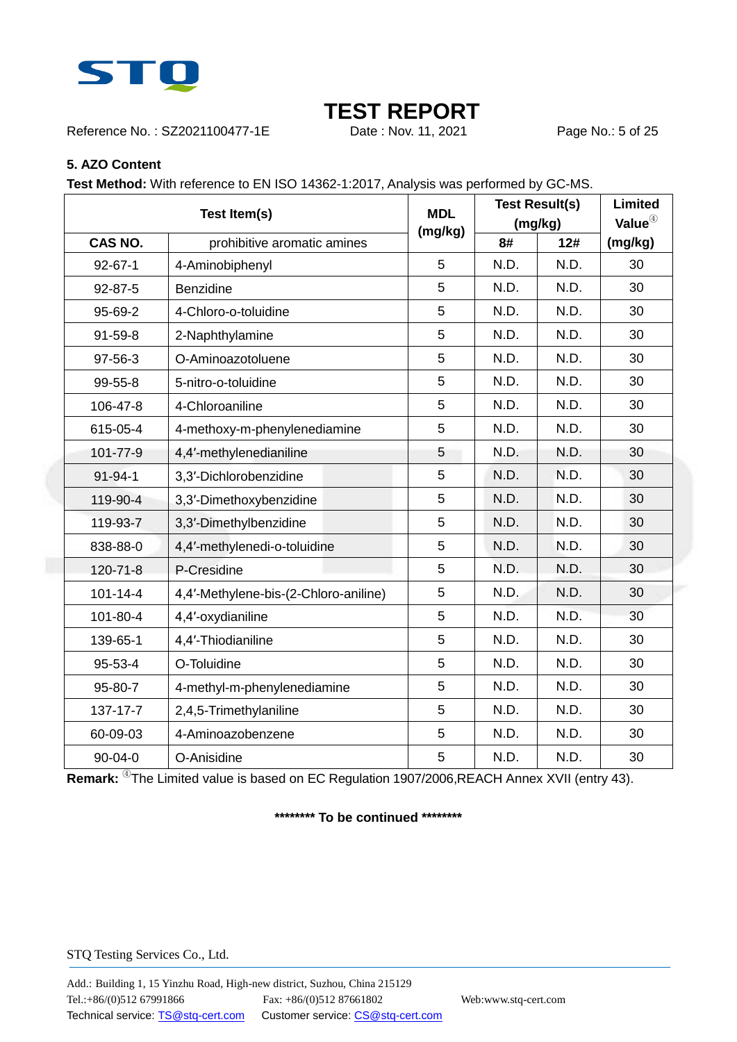

Reference No.: SZ2021100477-1E Date : Nov. 11, 2021 Page No.: 5 of 25

#### **5. AZO Content**

**Test Method:** With reference to EN ISO 14362-1:2017, Analysis was performed by GC-MS.

|                | Test Item(s)                          |         |      | <b>Test Result(s)</b><br>(mg/kg) |         |
|----------------|---------------------------------------|---------|------|----------------------------------|---------|
| <b>CAS NO.</b> | prohibitive aromatic amines           | (mg/kg) | 8#   | 12#                              | (mg/kg) |
| $92 - 67 - 1$  | 4-Aminobiphenyl                       | 5       | N.D. | N.D.                             | 30      |
| 92-87-5        | Benzidine                             | 5       | N.D. | N.D.                             | 30      |
| 95-69-2        | 4-Chloro-o-toluidine                  | 5       | N.D. | N.D.                             | 30      |
| 91-59-8        | 2-Naphthylamine                       | 5       | N.D. | N.D.                             | 30      |
| 97-56-3        | O-Aminoazotoluene                     | 5       | N.D. | N.D.                             | 30      |
| 99-55-8        | 5-nitro-o-toluidine                   | 5       | N.D. | N.D.                             | 30      |
| 106-47-8       | 4-Chloroaniline                       | 5       | N.D. | N.D.                             | 30      |
| 615-05-4       | 4-methoxy-m-phenylenediamine          | 5       | N.D. | N.D.                             | 30      |
| 101-77-9       | 4,4'-methylenedianiline               | 5       | N.D. | N.D.                             | 30      |
| 91-94-1        | 3,3'-Dichlorobenzidine                | 5       | N.D. | N.D.                             | 30      |
| 119-90-4       | 3,3'-Dimethoxybenzidine               | 5       | N.D. | N.D.                             | 30      |
| 119-93-7       | 3,3'-Dimethylbenzidine                | 5       | N.D. | N.D.                             | 30      |
| 838-88-0       | 4,4'-methylenedi-o-toluidine          | 5       | N.D. | N.D.                             | 30      |
| 120-71-8       | P-Cresidine                           | 5       | N.D. | N.D.                             | 30      |
| $101 - 14 - 4$ | 4,4'-Methylene-bis-(2-Chloro-aniline) | 5       | N.D. | N.D.                             | 30      |
| 101-80-4       | 4,4'-oxydianiline                     | 5       | N.D. | N.D.                             | 30      |
| 139-65-1       | 4,4'-Thiodianiline                    | 5       | N.D. | N.D.                             | 30      |
| 95-53-4        | O-Toluidine                           | 5       | N.D. | N.D.                             | 30      |
| 95-80-7        | 4-methyl-m-phenylenediamine           | 5       | N.D. | N.D.                             | 30      |
| 137-17-7       | 2,4,5-Trimethylaniline                | 5       | N.D. | N.D.                             | 30      |
| 60-09-03       | 4-Aminoazobenzene                     | 5       | N.D. | N.D.                             | 30      |
| 90-04-0        | O-Anisidine                           | 5       | N.D. | N.D.                             | 30      |

**Remark:** <sup>4</sup>The Limited value is based on EC Regulation 1907/2006,REACH Annex XVII (entry 43).

#### **\*\*\*\*\*\*\*\* To be continued \*\*\*\*\*\*\*\***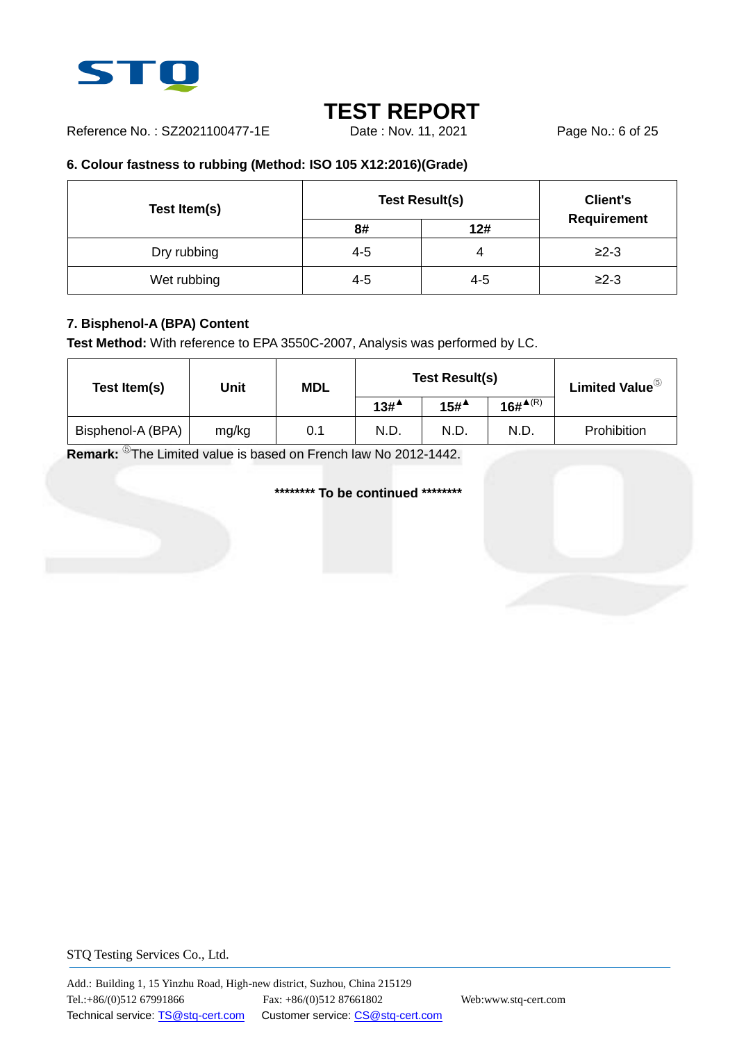

Reference No.: SZ2021100477-1E Date: Nov. 11, 2021 Page No.: 6 of 25

### **6. Colour fastness to rubbing (Method: ISO 105 X12:2016)(Grade)**

| Test Item(s) | <b>Test Result(s)</b> | <b>Client's</b> |             |
|--------------|-----------------------|-----------------|-------------|
|              | 8#                    | 12#             | Requirement |
| Dry rubbing  | $4 - 5$               | 4               | $≥2-3$      |
| Wet rubbing  | $4 - 5$               | $4 - 5$         | $≥2-3$      |

### **7. Bisphenol-A (BPA) Content**

**Test Method:** With reference to EPA 3550C-2007, Analysis was performed by LC.

| Test Item(s)      | Unit  | <b>MDL</b> |                  | <b>Test Result(s)</b> | Limited Value $^\circledS$ |             |
|-------------------|-------|------------|------------------|-----------------------|----------------------------|-------------|
|                   |       |            | 13# <sup>4</sup> | $15#^{\triangle}$     | $16\#^{\blacktriangle(R)}$ |             |
| Bisphenol-A (BPA) | mg/kg | 0.1        | N.D.             | N.D.                  | N.D.                       | Prohibition |

**Remark:** <sup>⑤</sup>The Limited value is based on French law No 2012-1442.

#### **\*\*\*\*\*\*\*\* To be continued \*\*\*\*\*\*\*\***

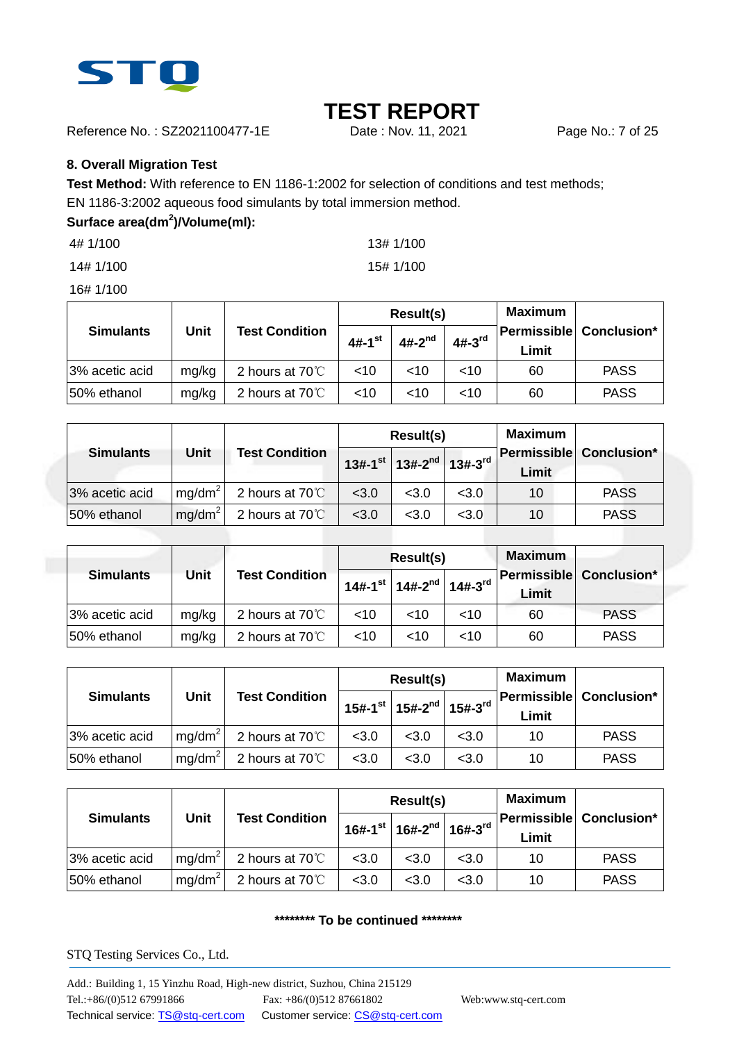

Reference No.: SZ2021100477-1E Date : Nov. 11, 2021 Page No.: 7 of 25

#### **8. Overall Migration Test**

**Test Method:** With reference to EN 1186-1:2002 for selection of conditions and test methods;

EN 1186-3:2002 aqueous food simulants by total immersion method.

### **Surface area(dm<sup>2</sup> )/Volume(ml):**

4# 1/100 13# 1/100

14# 1/100 15# 1/100

16# 1/100

|                  |             |                         |                      | Result(s)   |          | Maximum |                         |
|------------------|-------------|-------------------------|----------------------|-------------|----------|---------|-------------------------|
| <b>Simulants</b> | <b>Unit</b> | <b>Test Condition</b>   | $4#-1$ <sup>st</sup> | $4#-2^{nd}$ | $4#-3rd$ | Limit   | Permissible Conclusion* |
| 13% acetic acid  | mg/kg       | 2 hours at $70^{\circ}$ | <10                  | ~10         | $<$ 10   | 60      | <b>PASS</b>             |
| 50% ethanol      | mg/kg       | 2 hours at $70^{\circ}$ | $<$ 10               | ~10         | ~10      | 60      | <b>PASS</b>             |

|                  |                    |                       | Result(s) |                                                                      |       | Maximum |                                |
|------------------|--------------------|-----------------------|-----------|----------------------------------------------------------------------|-------|---------|--------------------------------|
| <b>Simulants</b> | Unit               | <b>Test Condition</b> |           | $13\text{#}-1$ <sup>st</sup> 13#-2 <sup>nd</sup> 13#-3 <sup>rd</sup> |       | Limit   | <b>Permissible Conclusion*</b> |
| 3% acetic acid   | mq/dm <sup>2</sup> | 2 hours at 70°C       | < 3.0     | < 3.0                                                                | < 3.0 | 10      | <b>PASS</b>                    |
| 50% ethanol      | mq/dm <sup>2</sup> | 2 hours at 70°C       | < 3.0     | < 3.0                                                                | < 3.0 | 10      | <b>PASS</b>                    |

|                  |       |                         |        | Result(s)                                |              | <b>Maximum</b> |                                |
|------------------|-------|-------------------------|--------|------------------------------------------|--------------|----------------|--------------------------------|
| <b>Simulants</b> | Unit  | <b>Test Condition</b>   |        | $14# - 1$ <sup>st</sup>   $14# - 2^{nd}$ | $14#-3^{rd}$ | Limit          | <b>Permissible Conclusion*</b> |
| 3% acetic acid   | mg/kg | 2 hours at $70^{\circ}$ | $<$ 10 | <10                                      | $<$ 10       | 60             | <b>PASS</b>                    |
| 50% ethanol      | mg/kg | 2 hours at $70^{\circ}$ | $<$ 10 | ~10                                      | ~10          | 60             | <b>PASS</b>                    |

|                                                   |                    |                 |                                                             | Result(s) |       | <b>Maximum</b>                 |             |
|---------------------------------------------------|--------------------|-----------------|-------------------------------------------------------------|-----------|-------|--------------------------------|-------------|
| Unit<br><b>Simulants</b><br><b>Test Condition</b> |                    |                 | 15#-1 <sup>st</sup> 15#-2 <sup>nd</sup> 15#-3 <sup>rd</sup> |           | Limit | <b>Permissible Conclusion*</b> |             |
| 3% acetic acid                                    | $mq/dm^2$          | 2 hours at 70°C | < 3.0                                                       | < 3.0     | < 3.0 | 10                             | <b>PASS</b> |
| 50% ethanol                                       | mq/dm <sup>2</sup> | 2 hours at 70°C | < 3.0                                                       | < 3.0     | < 3.0 | 10                             | <b>PASS</b> |

|                          |                    |                       |       | Result(s)                                                 |       | <b>Maximum</b> |                                |
|--------------------------|--------------------|-----------------------|-------|-----------------------------------------------------------|-------|----------------|--------------------------------|
| Unit<br><b>Simulants</b> |                    | <b>Test Condition</b> |       | $16# - 1$ <sup>st</sup>   $16# - 2^{nd}$   $16# - 3^{rd}$ |       | Limit          | <b>Permissible Conclusion*</b> |
| 3% acetic acid           | mq/dm <sup>2</sup> | 2 hours at 70°C       | < 3.0 | < 3.0                                                     | < 3.0 | 10             | <b>PASS</b>                    |
| 50% ethanol              | mq/dm <sup>2</sup> | 2 hours at 70°C       | < 3.0 | < 3.0                                                     | < 3.0 | 10             | <b>PASS</b>                    |

### **\*\*\*\*\*\*\*\* To be continued \*\*\*\*\*\*\*\***

STQ Testing Services Co., Ltd.

Add.: Building 1, 15 Yinzhu Road, High-new district, Suzhou, China 215129 Tel.:+86/(0)512 67991866 Fax: +86/(0)512 87661802 Web:www.stq-cert.com Technical service: TS@stq-cert.com Customer service: CS@stq-cert.com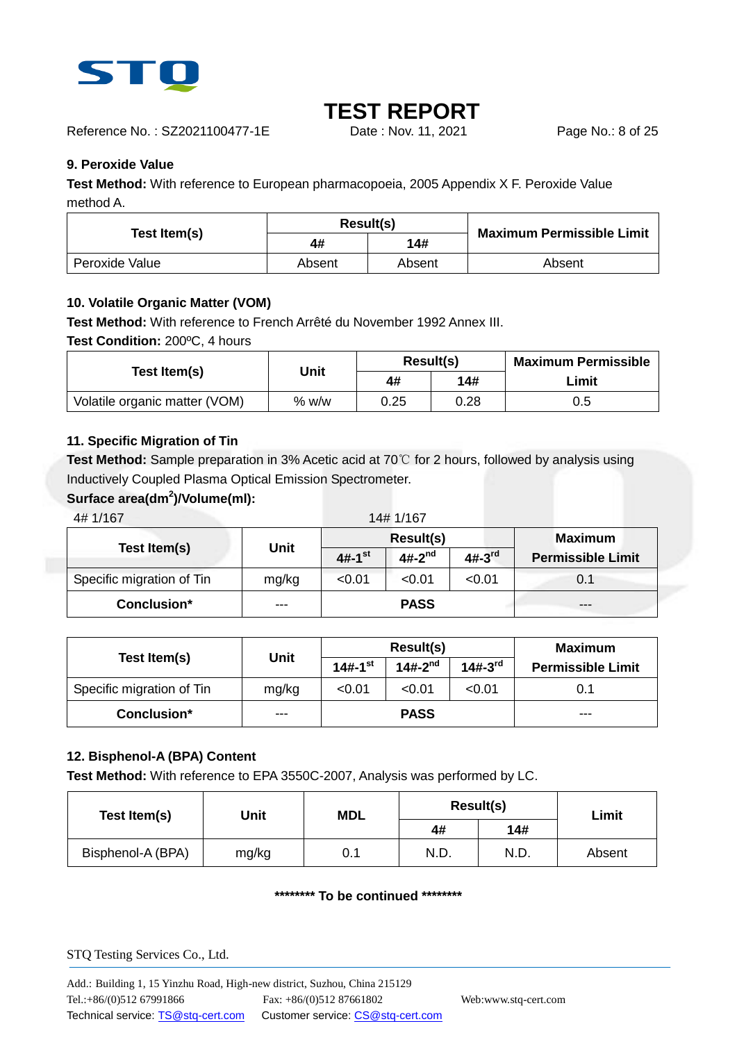

Reference No. : SZ2021100477-1E Date : Nov. 11, 2021 Page No.: 8 of 25

### **9. Peroxide Value**

**Test Method:** With reference to European pharmacopoeia, 2005 Appendix X F. Peroxide Value method A.

| Test Item(s)   |        | Result(s) | <b>Maximum Permissible Limit</b> |
|----------------|--------|-----------|----------------------------------|
|                | 4#     | 14#       |                                  |
| Peroxide Value | Absent | Absent    | Absent                           |

### **10. Volatile Organic Matter (VOM)**

**Test Method:** With reference to French Arrêté du November 1992 Annex III.

**Test Condition:** 200ºC, 4 hours

| Test Item(s)                  | Unit  | Result(s) |      | <b>Maximum Permissible</b> |
|-------------------------------|-------|-----------|------|----------------------------|
|                               | 4#    |           | 14#  | Limit                      |
| Volatile organic matter (VOM) | % w/w | 0.25      | 0.28 | 0.5                        |

### **11. Specific Migration of Tin**

**Test Method:** Sample preparation in 3% Acetic acid at 70℃ for 2 hours, followed by analysis using Inductively Coupled Plasma Optical Emission Spectrometer.

### **Surface area(dm<sup>2</sup> )/Volume(ml):**

4# 1/167 14# 1/167 **Test Item(s) Unit Result(s) Maximum 4#-1 Permissible Limit st 4#-2 nd 4#-3 rd** Specific migration of Tin  $mg/kg$   $\leq 0.01$   $\leq 0.01$   $\leq 0.01$  0.1

| Test Item(s)              |       |                         | Result(s)    | Maximum      |                          |
|---------------------------|-------|-------------------------|--------------|--------------|--------------------------|
|                           | Unit  | $14# - 1$ <sup>st</sup> | $14#-2^{nd}$ | $14#-3^{rd}$ | <b>Permissible Limit</b> |
| Specific migration of Tin | mg/kg | < 0.01                  | < 0.01       | < 0.01       | 0.1                      |
| Conclusion*               | ---   |                         | <b>PASS</b>  |              | ---                      |

**Conclusion\*** --- **PASS** ---

### **12. Bisphenol-A (BPA) Content**

**Test Method:** With reference to EPA 3550C-2007, Analysis was performed by LC.

| Test Item(s)      | Unit  | <b>MDL</b> |      | Result(s) | Limit  |  |
|-------------------|-------|------------|------|-----------|--------|--|
|                   |       |            | 4#   | 14#       |        |  |
| Bisphenol-A (BPA) | mg/kg | 0.1        | N.D. | N.D.      | Absent |  |

#### **\*\*\*\*\*\*\*\* To be continued \*\*\*\*\*\*\*\***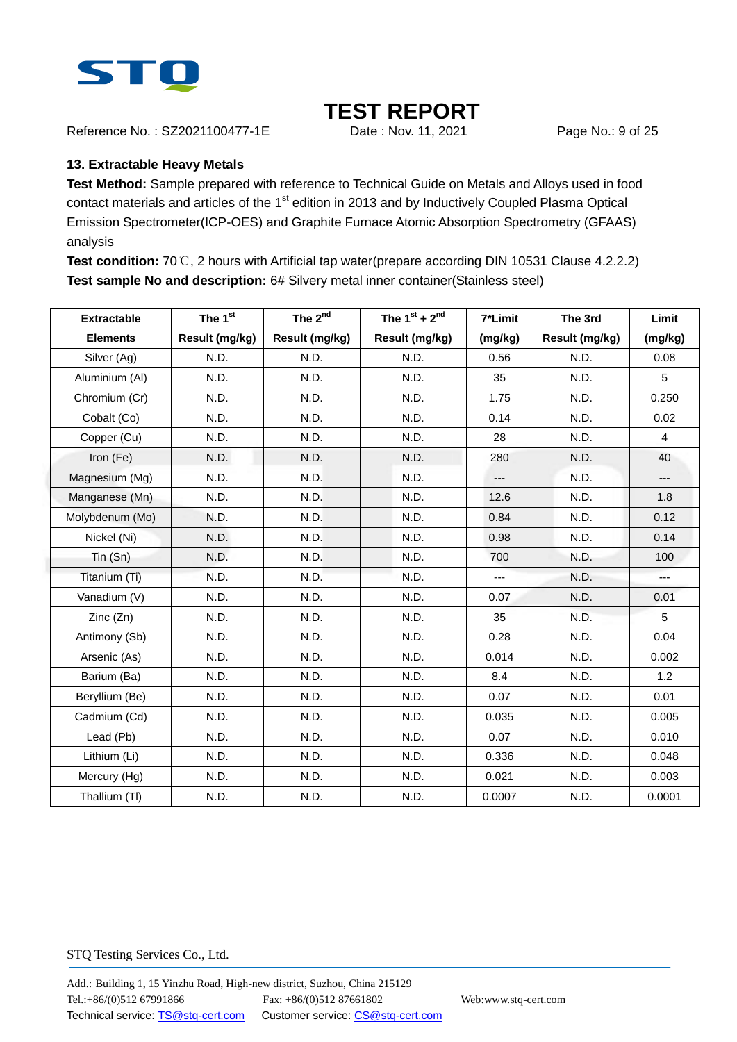

Reference No.: SZ2021100477-1E Date : Nov. 11, 2021 Page No.: 9 of 25

### **13. Extractable Heavy Metals**

**Test Method:** Sample prepared with reference to Technical Guide on Metals and Alloys used in food contact materials and articles of the 1<sup>st</sup> edition in 2013 and by Inductively Coupled Plasma Optical Emission Spectrometer(ICP-OES) and Graphite Furnace Atomic Absorption Spectrometry (GFAAS) analysis

**Test condition:** 70℃, 2 hours with Artificial tap water(prepare according DIN 10531 Clause 4.2.2.2) **Test sample No and description:** 6# Silvery metal inner container(Stainless steel)

| <b>Extractable</b> | The 1st        | The 2 <sup>nd</sup> | The $1^{st}$ + $2^{nd}$ | 7*Limit | The 3rd        | Limit          |
|--------------------|----------------|---------------------|-------------------------|---------|----------------|----------------|
| <b>Elements</b>    | Result (mg/kg) | Result (mg/kg)      | Result (mg/kg)          | (mg/kg) | Result (mg/kg) | (mg/kg)        |
| Silver (Ag)        | N.D.           | N.D.                | N.D.                    | 0.56    | N.D.           | 0.08           |
| Aluminium (Al)     | N.D.           | N.D.                | N.D.                    | 35      | N.D.           | 5              |
| Chromium (Cr)      | N.D.           | N.D.                | N.D.                    | 1.75    | N.D.           | 0.250          |
| Cobalt (Co)        | N.D.           | N.D.                | N.D.                    | 0.14    | N.D.           | 0.02           |
| Copper (Cu)        | N.D.           | N.D.                | N.D.                    | 28      | N.D.           | $\overline{4}$ |
| Iron (Fe)          | N.D.           | N.D.                | N.D.                    | 280     | N.D.           | 40             |
| Magnesium (Mg)     | N.D.           | N.D.                | N.D.                    | ---     | N.D.           | ---            |
| Manganese (Mn)     | N.D.           | N.D.                | N.D.                    | 12.6    | N.D.           | 1.8            |
| Molybdenum (Mo)    | N.D.           | N.D.                | N.D.                    | 0.84    | N.D.           | 0.12           |
| Nickel (Ni)        | N.D.           | N.D.                | N.D.                    | 0.98    | N.D.           | 0.14           |
| Tin (Sn)           | N.D.           | N.D.                | N.D.                    | 700     | N.D.           | 100            |
| Titanium (Ti)      | N.D.           | N.D.                | N.D.                    | ---     | N.D.           | $---$          |
| Vanadium (V)       | N.D.           | N.D.                | N.D.                    | 0.07    | N.D.           | 0.01           |
| Zinc(Zn)           | N.D.           | N.D.                | N.D.                    | 35      | N.D.           | 5              |
| Antimony (Sb)      | N.D.           | N.D.                | N.D.                    | 0.28    | N.D.           | 0.04           |
| Arsenic (As)       | N.D.           | N.D.                | N.D.                    | 0.014   | N.D.           | 0.002          |
| Barium (Ba)        | N.D.           | N.D.                | N.D.                    | 8.4     | N.D.           | 1.2            |
| Beryllium (Be)     | N.D.           | N.D.                | N.D.                    | 0.07    | N.D.           | 0.01           |
| Cadmium (Cd)       | N.D.           | N.D.                | N.D.                    | 0.035   | N.D.           | 0.005          |
| Lead (Pb)          | N.D.           | N.D.                | N.D.                    | 0.07    | N.D.           | 0.010          |
| Lithium (Li)       | N.D.           | N.D.                | N.D.                    | 0.336   | N.D.           | 0.048          |
| Mercury (Hg)       | N.D.           | N.D.                | N.D.                    | 0.021   | N.D.           | 0.003          |
| Thallium (TI)      | N.D.           | N.D.                | N.D.                    | 0.0007  | N.D.           | 0.0001         |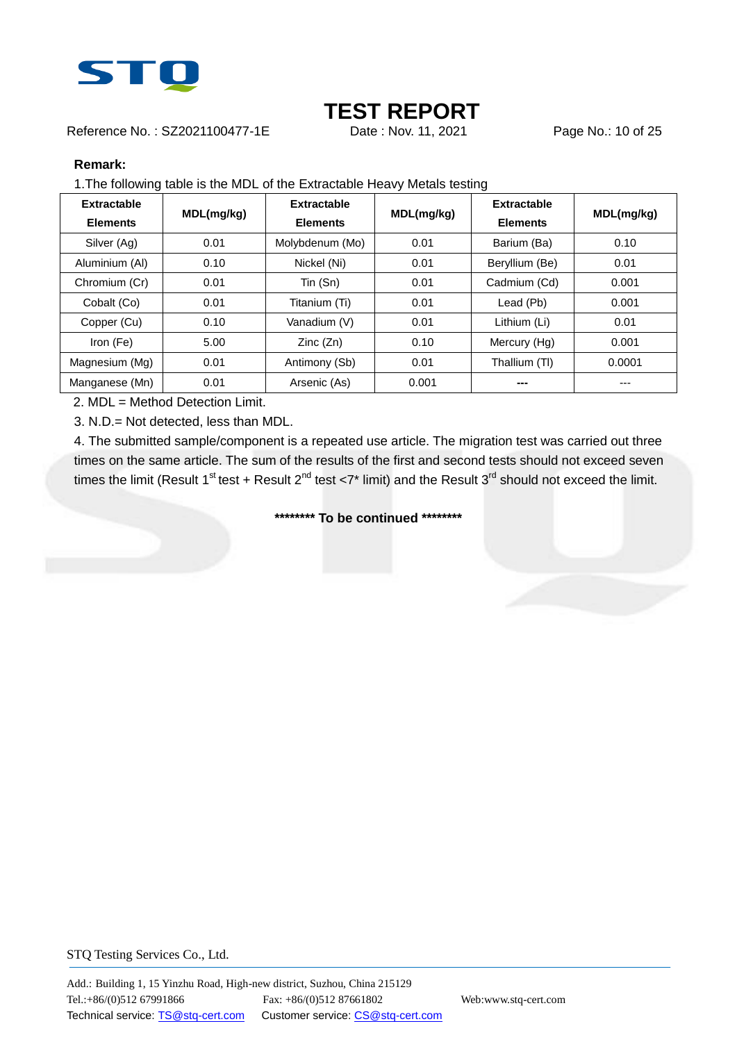

Reference No.: SZ2021100477-1E Date: Nov. 11, 2021 Page No.: 10 of 25

#### **Remark:**

1.The following table is the MDL of the Extractable Heavy Metals testing

| <b>Extractable</b><br><b>Elements</b> | MDL(mg/kg) | Extractable<br><b>Elements</b> | MDL(mg/kg) | Extractable<br><b>Elements</b> | MDL(mg/kg) |
|---------------------------------------|------------|--------------------------------|------------|--------------------------------|------------|
| Silver (Ag)                           | 0.01       | Molybdenum (Mo)                | 0.01       | Barium (Ba)                    | 0.10       |
| Aluminium (AI)                        | 0.10       | Nickel (Ni)                    | 0.01       | Beryllium (Be)                 | 0.01       |
| Chromium (Cr)                         | 0.01       | Tin (Sn)                       | 0.01       | Cadmium (Cd)                   | 0.001      |
| Cobalt (Co)                           | 0.01       | Titanium (Ti)                  | 0.01       | Lead (Pb)                      | 0.001      |
| Copper (Cu)                           | 0.10       | Vanadium (V)                   | 0.01       | Lithium (Li)                   | 0.01       |
| Iron (Fe)                             | 5.00       | Zinc(Zn)                       | 0.10       | Mercury (Hg)                   | 0.001      |
| Magnesium (Mg)                        | 0.01       | Antimony (Sb)                  | 0.01       | Thallium (TI)                  | 0.0001     |
| Manganese (Mn)                        | 0.01       | Arsenic (As)                   | 0.001      | ---                            | ---        |

2. MDL = Method Detection Limit.

3. N.D.= Not detected, less than MDL.

4. The submitted sample/component is a repeated use article. The migration test was carried out three times on the same article. The sum of the results of the first and second tests should not exceed seven times the limit (Result 1<sup>st</sup> test + Result 2<sup>nd</sup> test <7\* limit) and the Result 3<sup>rd</sup> should not exceed the limit.

**\*\*\*\*\*\*\*\* To be continued \*\*\*\*\*\*\*\***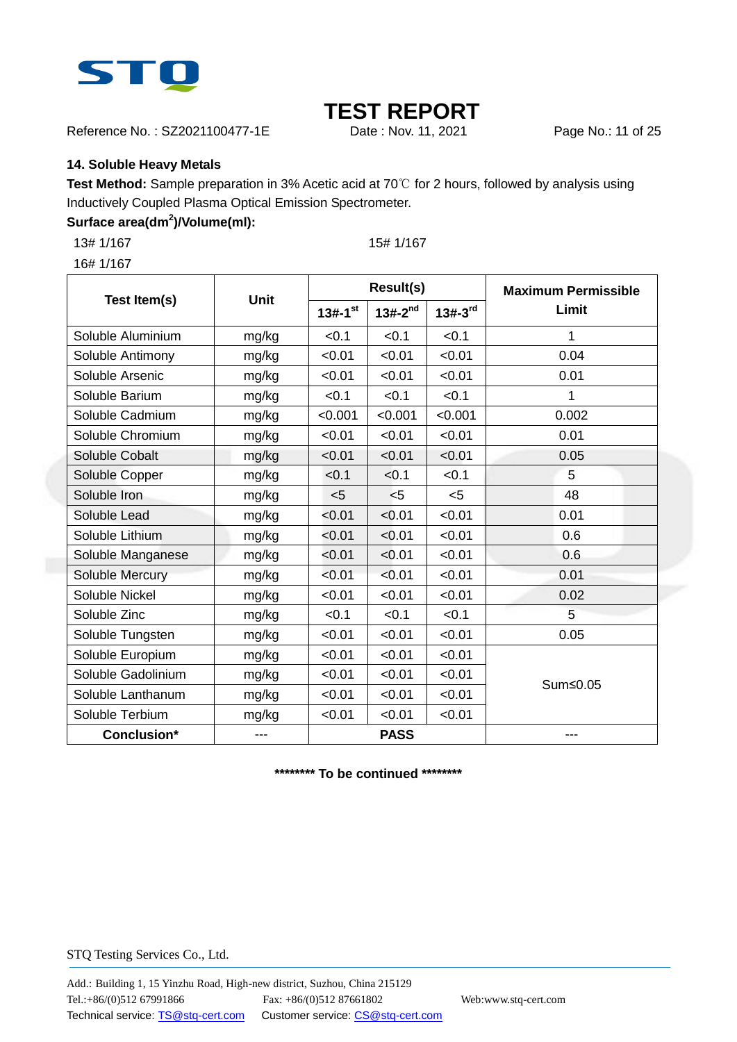

Reference No. : SZ2021100477-1E Date : Nov. 11, 2021 Page No.: 11 of 25

### **14. Soluble Heavy Metals**

**Test Method:** Sample preparation in 3% Acetic acid at 70℃ for 2 hours, followed by analysis using Inductively Coupled Plasma Optical Emission Spectrometer.

### **Surface area(dm<sup>2</sup> )/Volume(ml):**

13# 1/167 15# 1/167

16# 1/167

**Test Item(s) Unit Result(s) Maximum Permissible**  13#-1<sup>st</sup> | 13#-2<sup>nd</sup> | 13#-3<sup>rd</sup> | Limit  $13# - 1$ <sup>st</sup> | 13#-2<sup>nd</sup> Soluble Aluminium  $ma/kq \leq 0.1 \leq 0.1 \leq 0.1 \leq 1$ Soluble Antimony | mg/kg | <0.01 | <0.01 | <0.01 | 0.04 Soluble Arsenic  $mg/kg$   $|$  <0.01  $|$  <0.01  $|$  <0.01 0.01 Soluble Barium  $mg/kg$   $\leq 0.1$   $\leq 0.1$   $\leq 0.1$  1 Soluble Cadmium  $ma/kq \sim 0.001 \mid 0.001 \mid 0.001 \mid 0.002$ Soluble Chromium | mg/kg | <0.01 | <0.01 | <0.01 | 0.01 Soluble Cobalt mg/kg | <0.01 | <0.01 | <0.01 | 0.05 Soluble Copper mg/kg  $\vert$  <0.1  $\vert$  <0.1  $\vert$  <0.1  $\vert$  5 Soluble Iron  $\log k$ g  $\leq 5$   $\leq 5$   $\leq 5$   $\leq 6$   $\leq 48$ Soluble Lead mg/kg  $\vert$  <0.01  $\vert$  <0.01  $\vert$  <0.01  $\vert$  0.01 Soluble Lithium | mg/kg | <0.01 | <0.01 | <0.01 | 0.6 Soluble Manganese | mg/kg | <0.01 | <0.01 | <0.01 | 0.6 Soluble Mercury mg/kg  $\vert$  <0.01  $\vert$  <0.01  $\vert$  <0.01 0.01 Soluble Nickel mg/kg | <0.01 | <0.01 | <0.01 | 0.02 Soluble Zinc  $mg/kg$   $|$  <0.1  $|$  <0.1  $|$  <0.1  $|$  =  $5$ Soluble Tungsten  $mg/kg$   $\leq 0.01$   $\leq 0.01$   $\leq 0.01$   $\leq 0.01$  0.05 Soluble Europium  $\vert$  mg/kg  $\vert$  <0.01  $\vert$  <0.01  $\vert$  <0.01 Sum≤0.05 Soluble Gadolinium  $\vert$  mg/kg  $\vert$  <0.01  $\vert$  <0.01  $\vert$  <0.01 Soluble Lanthanum  $\vert$  mg/kg  $\vert$  <0.01  $\vert$  <0.01  $\vert$  <0.01 Soluble Terbium  $mg/kg$   $\leq 0.01$   $\leq 0.01$   $\leq 0.01$ **Conclusion\*** --- **PASS** ---

**\*\*\*\*\*\*\*\* To be continued \*\*\*\*\*\*\*\***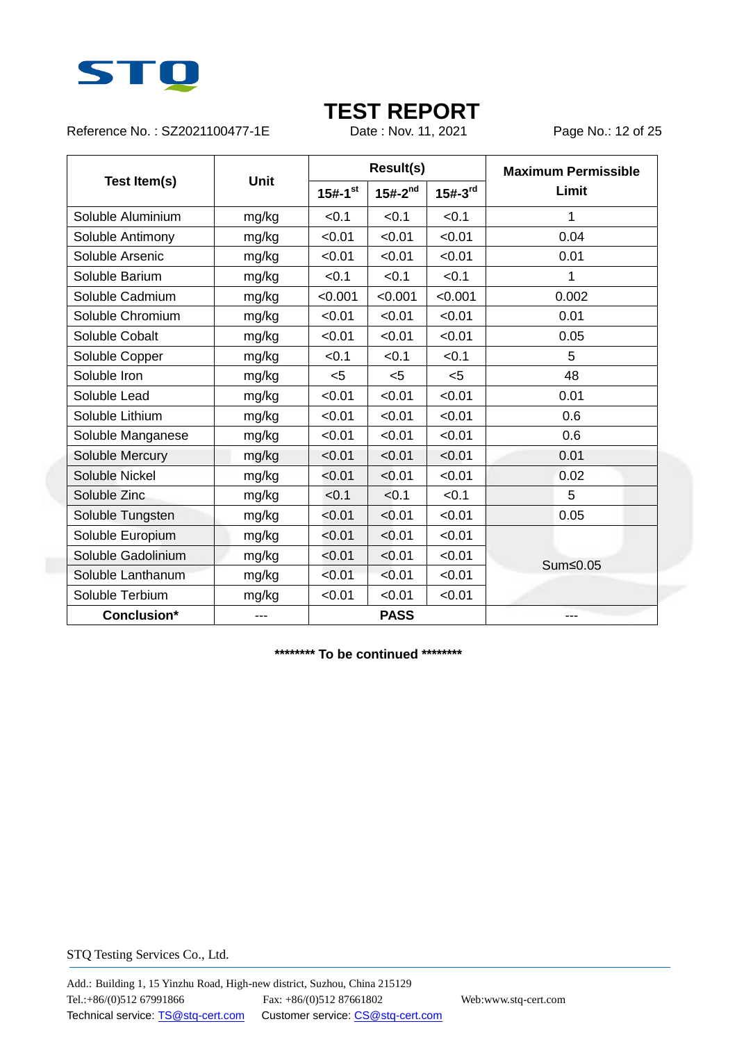

Reference No.: SZ2021100477-1E Date: Nov. 11, 2021 Page No.: 12 of 25

|                    |             |                       | <b>Result(s)</b> |              | <b>Maximum Permissible</b> |  |
|--------------------|-------------|-----------------------|------------------|--------------|----------------------------|--|
| Test Item(s)       | <b>Unit</b> | $15#-1$ <sup>st</sup> | $15#-2^{nd}$     | $15#-3^{rd}$ | Limit                      |  |
| Soluble Aluminium  | mg/kg       | < 0.1                 | < 0.1            | < 0.1        | 1                          |  |
| Soluble Antimony   | mg/kg       | < 0.01                | < 0.01           | < 0.01       | 0.04                       |  |
| Soluble Arsenic    | mg/kg       | < 0.01                | < 0.01           | < 0.01       | 0.01                       |  |
| Soluble Barium     | mg/kg       | < 0.1                 | < 0.1            | < 0.1        | 1                          |  |
| Soluble Cadmium    | mg/kg       | < 0.001               | < 0.001          | < 0.001      | 0.002                      |  |
| Soluble Chromium   | mg/kg       | < 0.01                | < 0.01           | < 0.01       | 0.01                       |  |
| Soluble Cobalt     | mg/kg       | < 0.01                | < 0.01           | < 0.01       | 0.05                       |  |
| Soluble Copper     | mg/kg       | < 0.1                 | < 0.1            | < 0.1        | 5                          |  |
| Soluble Iron       | mg/kg       | $5$                   | $5$              | < 5          | 48                         |  |
| Soluble Lead       | mg/kg       | < 0.01                | < 0.01           | < 0.01       | 0.01                       |  |
| Soluble Lithium    | mg/kg       | < 0.01                | < 0.01           | < 0.01       | 0.6                        |  |
| Soluble Manganese  | mg/kg       | < 0.01                | < 0.01           | < 0.01       | 0.6                        |  |
| Soluble Mercury    | mg/kg       | < 0.01                | < 0.01           | < 0.01       | 0.01                       |  |
| Soluble Nickel     | mg/kg       | < 0.01                | < 0.01           | < 0.01       | 0.02                       |  |
| Soluble Zinc       | mg/kg       | < 0.1                 | < 0.1            | < 0.1        | 5                          |  |
| Soluble Tungsten   | mg/kg       | < 0.01                | < 0.01           | < 0.01       | 0.05                       |  |
| Soluble Europium   | mg/kg       | < 0.01                | < 0.01           | < 0.01       |                            |  |
| Soluble Gadolinium | mg/kg       | < 0.01                | < 0.01           | < 0.01       | Sum≤0.05                   |  |
| Soluble Lanthanum  | mg/kg       | < 0.01                | < 0.01           | < 0.01       |                            |  |
| Soluble Terbium    | mg/kg       | < 0.01                | < 0.01           | < 0.01       |                            |  |
| Conclusion*        | $---$       |                       | <b>PASS</b>      |              | ---                        |  |

**\*\*\*\*\*\*\*\* To be continued \*\*\*\*\*\*\*\***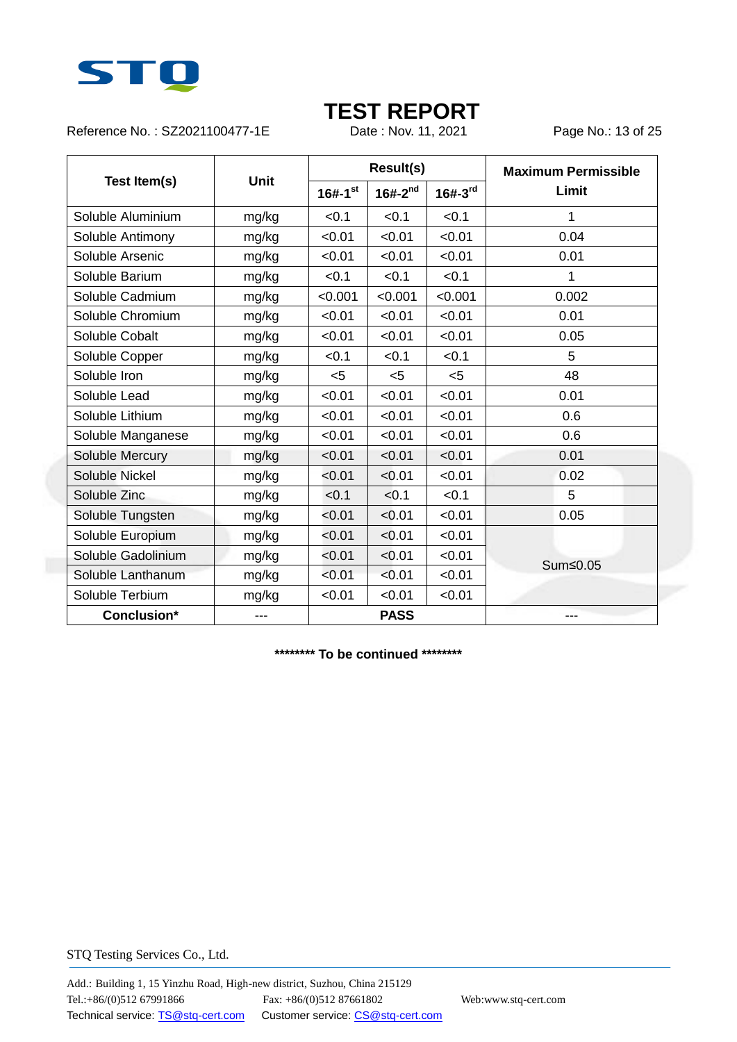

Reference No.: SZ2021100477-1E Date: Nov. 11, 2021 Page No.: 13 of 25

|                    |             |                         | <b>Result(s)</b> |           | <b>Maximum Permissible</b> |  |
|--------------------|-------------|-------------------------|------------------|-----------|----------------------------|--|
| Test Item(s)       | <b>Unit</b> | $16# - 1$ <sup>st</sup> | $16# - 2^{nd}$   | $16#-3rd$ | Limit                      |  |
| Soluble Aluminium  | mg/kg       | < 0.1                   | < 0.1            | < 0.1     | 1                          |  |
| Soluble Antimony   | mg/kg       | < 0.01                  | < 0.01           | < 0.01    | 0.04                       |  |
| Soluble Arsenic    | mg/kg       | < 0.01                  | < 0.01           | < 0.01    | 0.01                       |  |
| Soluble Barium     | mg/kg       | < 0.1                   | < 0.1            | < 0.1     | 1                          |  |
| Soluble Cadmium    | mg/kg       | < 0.001                 | < 0.001          | < 0.001   | 0.002                      |  |
| Soluble Chromium   | mg/kg       | < 0.01                  | < 0.01           | < 0.01    | 0.01                       |  |
| Soluble Cobalt     | mg/kg       | < 0.01                  | < 0.01           | < 0.01    | 0.05                       |  |
| Soluble Copper     | mg/kg       | < 0.1                   | < 0.1            | < 0.1     | 5                          |  |
| Soluble Iron       | mg/kg       | $5$                     | $5$              | < 5       | 48                         |  |
| Soluble Lead       | mg/kg       | < 0.01                  | < 0.01           | < 0.01    | 0.01                       |  |
| Soluble Lithium    | mg/kg       | < 0.01                  | < 0.01           | < 0.01    | 0.6                        |  |
| Soluble Manganese  | mg/kg       | < 0.01                  | < 0.01           | < 0.01    | 0.6                        |  |
| Soluble Mercury    | mg/kg       | < 0.01                  | < 0.01           | < 0.01    | 0.01                       |  |
| Soluble Nickel     | mg/kg       | < 0.01                  | < 0.01           | < 0.01    | 0.02                       |  |
| Soluble Zinc       | mg/kg       | < 0.1                   | < 0.1            | < 0.1     | 5                          |  |
| Soluble Tungsten   | mg/kg       | < 0.01                  | < 0.01           | < 0.01    | 0.05                       |  |
| Soluble Europium   | mg/kg       | < 0.01                  | < 0.01           | < 0.01    |                            |  |
| Soluble Gadolinium | mg/kg       | < 0.01                  | < 0.01           | < 0.01    | Sum≤0.05                   |  |
| Soluble Lanthanum  | mg/kg       | < 0.01                  | < 0.01           | < 0.01    |                            |  |
| Soluble Terbium    | mg/kg       | < 0.01                  | < 0.01           | < 0.01    |                            |  |
| Conclusion*        | $---$       |                         | <b>PASS</b>      |           | ---                        |  |

**\*\*\*\*\*\*\*\* To be continued \*\*\*\*\*\*\*\***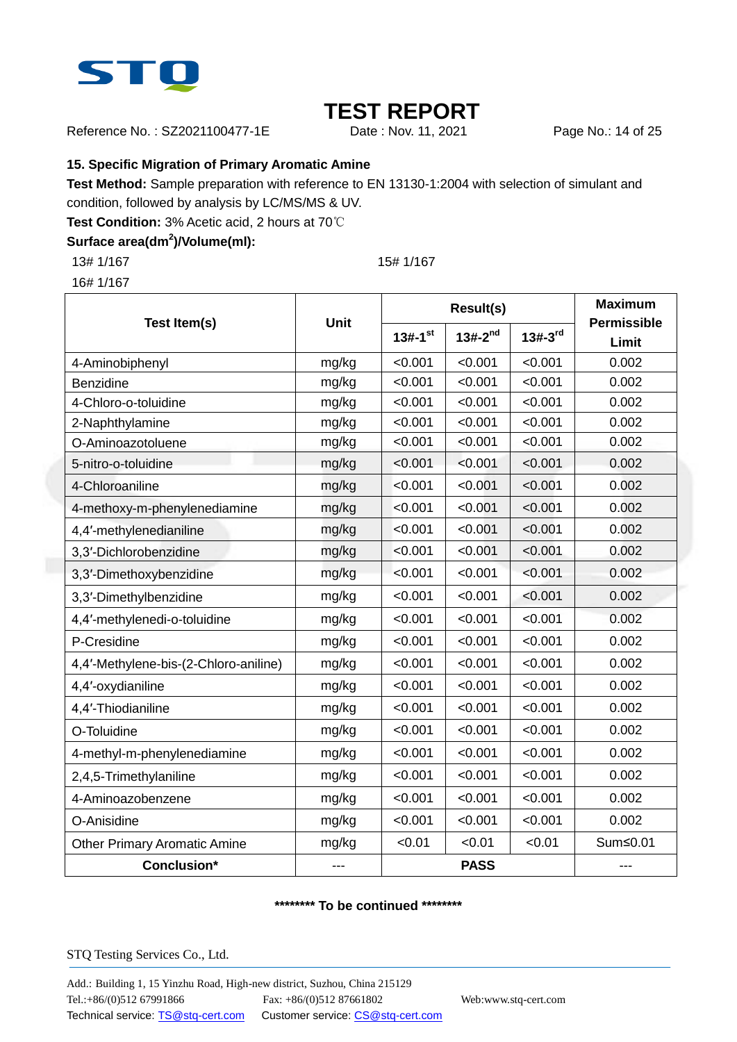

Reference No.: SZ2021100477-1E Date: Nov. 11, 2021 Page No.: 14 of 25

### **15. Specific Migration of Primary Aromatic Amine**

**Test Method:** Sample preparation with reference to EN 13130-1:2004 with selection of simulant and

condition, followed by analysis by LC/MS/MS & UV.

**Test Condition:** 3% Acetic acid, 2 hours at 70℃

### **Surface area(dm<sup>2</sup> )/Volume(ml):**

13# 1/167 15# 1/167

16# 1/167

|                                       | Unit  |                       | <b>Result(s)</b> | <b>Maximum</b> |                             |
|---------------------------------------|-------|-----------------------|------------------|----------------|-----------------------------|
| Test Item(s)                          |       | $13#-1$ <sup>st</sup> | $13#-2^{nd}$     | $13#-3rd$      | <b>Permissible</b><br>Limit |
| 4-Aminobiphenyl                       | mg/kg | < 0.001               | < 0.001          | < 0.001        | 0.002                       |
| Benzidine                             | mg/kg | < 0.001               | < 0.001          | < 0.001        | 0.002                       |
| 4-Chloro-o-toluidine                  | mg/kg | < 0.001               | < 0.001          | < 0.001        | 0.002                       |
| 2-Naphthylamine                       | mg/kg | < 0.001               | < 0.001          | < 0.001        | 0.002                       |
| O-Aminoazotoluene                     | mg/kg | < 0.001               | < 0.001          | < 0.001        | 0.002                       |
| 5-nitro-o-toluidine                   | mg/kg | < 0.001               | < 0.001          | < 0.001        | 0.002                       |
| 4-Chloroaniline                       | mg/kg | < 0.001               | < 0.001          | < 0.001        | 0.002                       |
| 4-methoxy-m-phenylenediamine          | mg/kg | < 0.001               | < 0.001          | < 0.001        | 0.002                       |
| 4,4'-methylenedianiline               | mg/kg | < 0.001               | < 0.001          | < 0.001        | 0.002                       |
| 3,3'-Dichlorobenzidine                | mg/kg | < 0.001               | < 0.001          | < 0.001        | 0.002                       |
| 3,3'-Dimethoxybenzidine               | mg/kg | < 0.001               | < 0.001          | < 0.001        | 0.002                       |
| 3,3'-Dimethylbenzidine                | mg/kg | < 0.001               | < 0.001          | < 0.001        | 0.002                       |
| 4,4'-methylenedi-o-toluidine          | mg/kg | < 0.001               | < 0.001          | < 0.001        | 0.002                       |
| P-Cresidine                           | mg/kg | < 0.001               | < 0.001          | < 0.001        | 0.002                       |
| 4,4'-Methylene-bis-(2-Chloro-aniline) | mg/kg | < 0.001               | < 0.001          | < 0.001        | 0.002                       |
| 4,4'-oxydianiline                     | mg/kg | < 0.001               | < 0.001          | < 0.001        | 0.002                       |
| 4,4'-Thiodianiline                    | mg/kg | < 0.001               | < 0.001          | < 0.001        | 0.002                       |
| O-Toluidine                           | mg/kg | < 0.001               | < 0.001          | < 0.001        | 0.002                       |
| 4-methyl-m-phenylenediamine           | mg/kg | < 0.001               | < 0.001          | < 0.001        | 0.002                       |
| 2,4,5-Trimethylaniline                | mg/kg | < 0.001               | < 0.001          | < 0.001        | 0.002                       |
| 4-Aminoazobenzene                     | mg/kg | < 0.001               | < 0.001          | < 0.001        | 0.002                       |
| O-Anisidine                           | mg/kg | < 0.001               | < 0.001          | < 0.001        | 0.002                       |
| <b>Other Primary Aromatic Amine</b>   | mg/kg | < 0.01                | < 0.01           | < 0.01         | Sum≤0.01                    |
| Conclusion*                           |       | <b>PASS</b>           |                  |                |                             |

#### **\*\*\*\*\*\*\*\* To be continued \*\*\*\*\*\*\*\***

STQ Testing Services Co., Ltd.

Add.: Building 1, 15 Yinzhu Road, High-new district, Suzhou, China 215129 Tel.:+86/(0)512 67991866 Fax: +86/(0)512 87661802 Web:www.stq-cert.com Technical service: TS@stq-cert.com Customer service: CS@stq-cert.com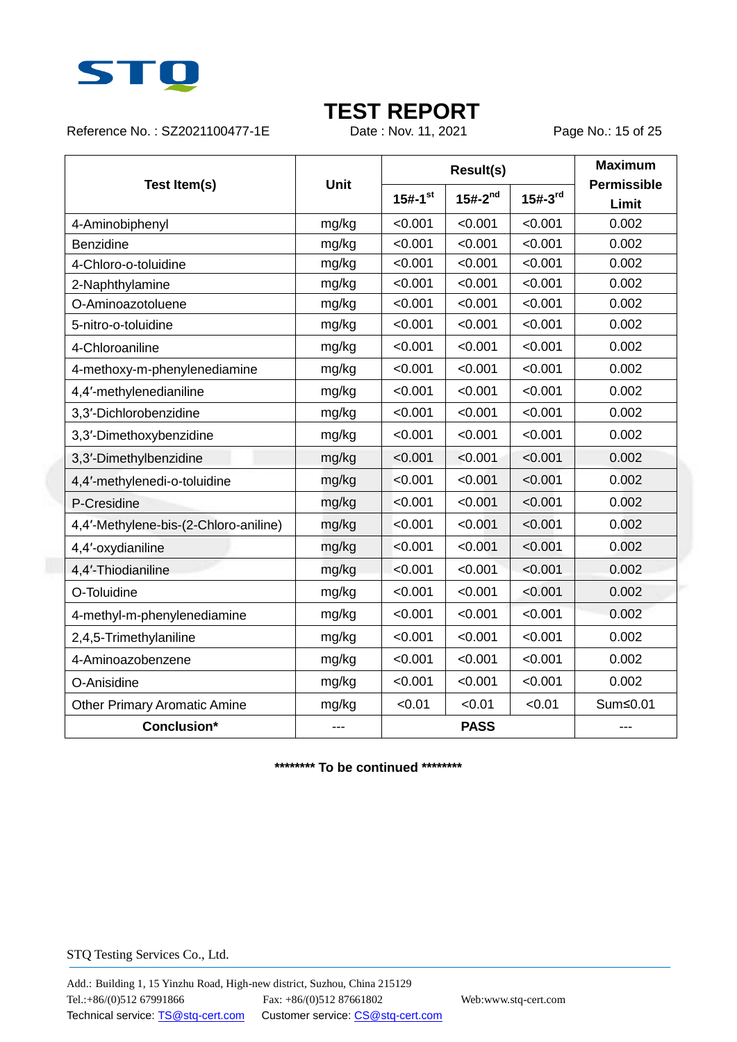

Reference No.: SZ2021100477-1E Date: Nov. 11, 2021 Page No.: 15 of 25

|                                       | <b>Unit</b> |                       | <b>Result(s)</b> | <b>Maximum</b> |                             |
|---------------------------------------|-------------|-----------------------|------------------|----------------|-----------------------------|
| Test Item(s)                          |             | $15#-1$ <sup>st</sup> | $15#-2^{nd}$     | $15#-3^{rd}$   | <b>Permissible</b><br>Limit |
| 4-Aminobiphenyl                       | mg/kg       | < 0.001               | < 0.001          | < 0.001        | 0.002                       |
| Benzidine                             | mg/kg       | < 0.001               | < 0.001          | < 0.001        | 0.002                       |
| 4-Chloro-o-toluidine                  | mg/kg       | < 0.001               | < 0.001          | < 0.001        | 0.002                       |
| 2-Naphthylamine                       | mg/kg       | < 0.001               | < 0.001          | < 0.001        | 0.002                       |
| O-Aminoazotoluene                     | mg/kg       | < 0.001               | < 0.001          | < 0.001        | 0.002                       |
| 5-nitro-o-toluidine                   | mg/kg       | < 0.001               | < 0.001          | < 0.001        | 0.002                       |
| 4-Chloroaniline                       | mg/kg       | < 0.001               | < 0.001          | < 0.001        | 0.002                       |
| 4-methoxy-m-phenylenediamine          | mg/kg       | < 0.001               | < 0.001          | < 0.001        | 0.002                       |
| 4,4'-methylenedianiline               | mg/kg       | < 0.001               | < 0.001          | < 0.001        | 0.002                       |
| 3,3'-Dichlorobenzidine                | mg/kg       | < 0.001               | < 0.001          | < 0.001        | 0.002                       |
| 3,3'-Dimethoxybenzidine               | mg/kg       | < 0.001               | < 0.001          | < 0.001        | 0.002                       |
| 3,3'-Dimethylbenzidine                | mg/kg       | < 0.001               | < 0.001          | < 0.001        | 0.002                       |
| 4,4'-methylenedi-o-toluidine          | mg/kg       | < 0.001               | < 0.001          | < 0.001        | 0.002                       |
| P-Cresidine                           | mg/kg       | < 0.001               | < 0.001          | < 0.001        | 0.002                       |
| 4,4'-Methylene-bis-(2-Chloro-aniline) | mg/kg       | < 0.001               | < 0.001          | < 0.001        | 0.002                       |
| 4,4'-oxydianiline                     | mg/kg       | < 0.001               | < 0.001          | < 0.001        | 0.002                       |
| 4,4'-Thiodianiline                    | mg/kg       | < 0.001               | < 0.001          | < 0.001        | 0.002                       |
| O-Toluidine                           | mg/kg       | < 0.001               | < 0.001          | < 0.001        | 0.002                       |
| 4-methyl-m-phenylenediamine           | mg/kg       | < 0.001               | < 0.001          | < 0.001        | 0.002                       |
| 2,4,5-Trimethylaniline                | mg/kg       | < 0.001               | < 0.001          | < 0.001        | 0.002                       |
| 4-Aminoazobenzene                     | mg/kg       | < 0.001               | < 0.001          | < 0.001        | 0.002                       |
| O-Anisidine                           | mg/kg       | < 0.001               | < 0.001          | < 0.001        | 0.002                       |
| <b>Other Primary Aromatic Amine</b>   | mg/kg       | < 0.01                | < 0.01           | < 0.01         | Sum≤0.01                    |
| <b>Conclusion*</b>                    |             | <b>PASS</b>           |                  |                | ---                         |

**\*\*\*\*\*\*\*\* To be continued \*\*\*\*\*\*\*\***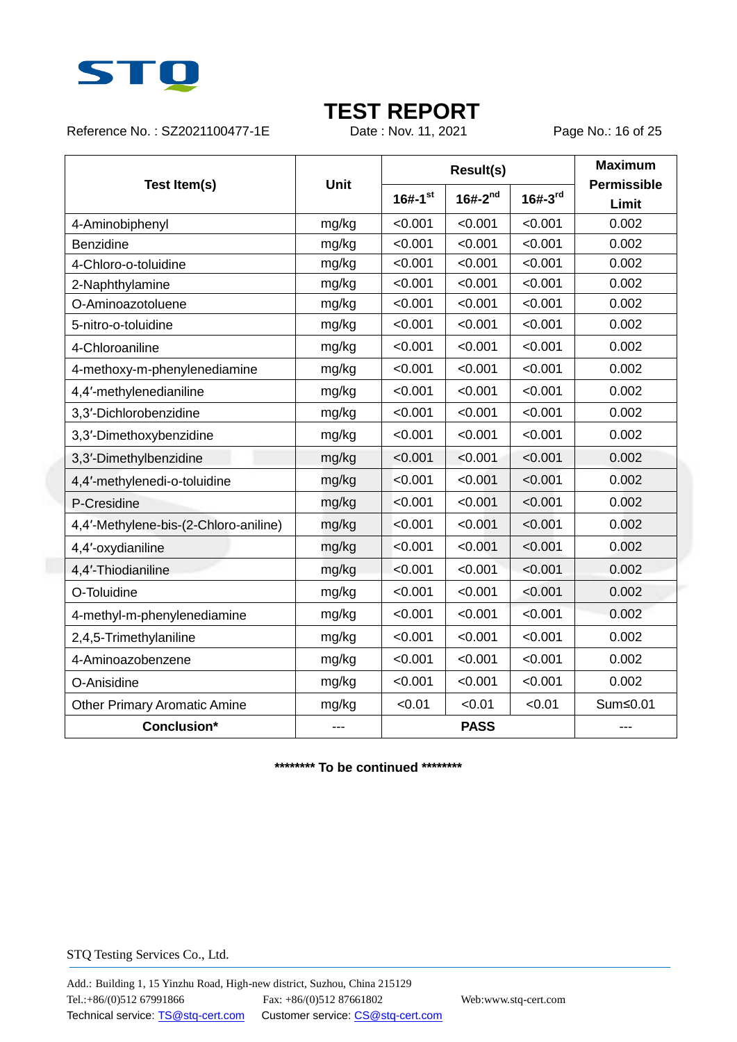

Reference No.: SZ2021100477-1E Date: Nov. 11, 2021 Page No.: 16 of 25

|                                       | <b>Unit</b> |                         | <b>Result(s)</b> | <b>Maximum</b> |                             |
|---------------------------------------|-------------|-------------------------|------------------|----------------|-----------------------------|
| Test Item(s)                          |             | $16# - 1$ <sup>st</sup> | $16# - 2^{nd}$   | $16# - 3^{rd}$ | <b>Permissible</b><br>Limit |
| 4-Aminobiphenyl                       | mg/kg       | < 0.001                 | < 0.001          | < 0.001        | 0.002                       |
| Benzidine                             | mg/kg       | < 0.001                 | < 0.001          | < 0.001        | 0.002                       |
| 4-Chloro-o-toluidine                  | mg/kg       | < 0.001                 | < 0.001          | < 0.001        | 0.002                       |
| 2-Naphthylamine                       | mg/kg       | < 0.001                 | < 0.001          | < 0.001        | 0.002                       |
| O-Aminoazotoluene                     | mg/kg       | < 0.001                 | < 0.001          | < 0.001        | 0.002                       |
| 5-nitro-o-toluidine                   | mg/kg       | < 0.001                 | < 0.001          | < 0.001        | 0.002                       |
| 4-Chloroaniline                       | mg/kg       | < 0.001                 | < 0.001          | < 0.001        | 0.002                       |
| 4-methoxy-m-phenylenediamine          | mg/kg       | < 0.001                 | < 0.001          | < 0.001        | 0.002                       |
| 4,4'-methylenedianiline               | mg/kg       | < 0.001                 | < 0.001          | < 0.001        | 0.002                       |
| 3,3'-Dichlorobenzidine                | mg/kg       | < 0.001                 | < 0.001          | < 0.001        | 0.002                       |
| 3,3'-Dimethoxybenzidine               | mg/kg       | < 0.001                 | < 0.001          | < 0.001        | 0.002                       |
| 3,3'-Dimethylbenzidine                | mg/kg       | < 0.001                 | < 0.001          | < 0.001        | 0.002                       |
| 4,4'-methylenedi-o-toluidine          | mg/kg       | < 0.001                 | < 0.001          | < 0.001        | 0.002                       |
| P-Cresidine                           | mg/kg       | < 0.001                 | < 0.001          | < 0.001        | 0.002                       |
| 4,4'-Methylene-bis-(2-Chloro-aniline) | mg/kg       | < 0.001                 | < 0.001          | < 0.001        | 0.002                       |
| 4,4'-oxydianiline                     | mg/kg       | < 0.001                 | < 0.001          | < 0.001        | 0.002                       |
| 4,4'-Thiodianiline                    | mg/kg       | < 0.001                 | < 0.001          | < 0.001        | 0.002                       |
| O-Toluidine                           | mg/kg       | < 0.001                 | < 0.001          | < 0.001        | 0.002                       |
| 4-methyl-m-phenylenediamine           | mg/kg       | < 0.001                 | < 0.001          | < 0.001        | 0.002                       |
| 2,4,5-Trimethylaniline                | mg/kg       | < 0.001                 | < 0.001          | < 0.001        | 0.002                       |
| 4-Aminoazobenzene                     | mg/kg       | < 0.001                 | < 0.001          | < 0.001        | 0.002                       |
| O-Anisidine                           | mg/kg       | < 0.001                 | < 0.001          | < 0.001        | 0.002                       |
| <b>Other Primary Aromatic Amine</b>   | mg/kg       | < 0.01                  | < 0.01           | < 0.01         | Sum≤0.01                    |
| <b>Conclusion*</b>                    |             | <b>PASS</b>             |                  |                | ---                         |

**\*\*\*\*\*\*\*\* To be continued \*\*\*\*\*\*\*\***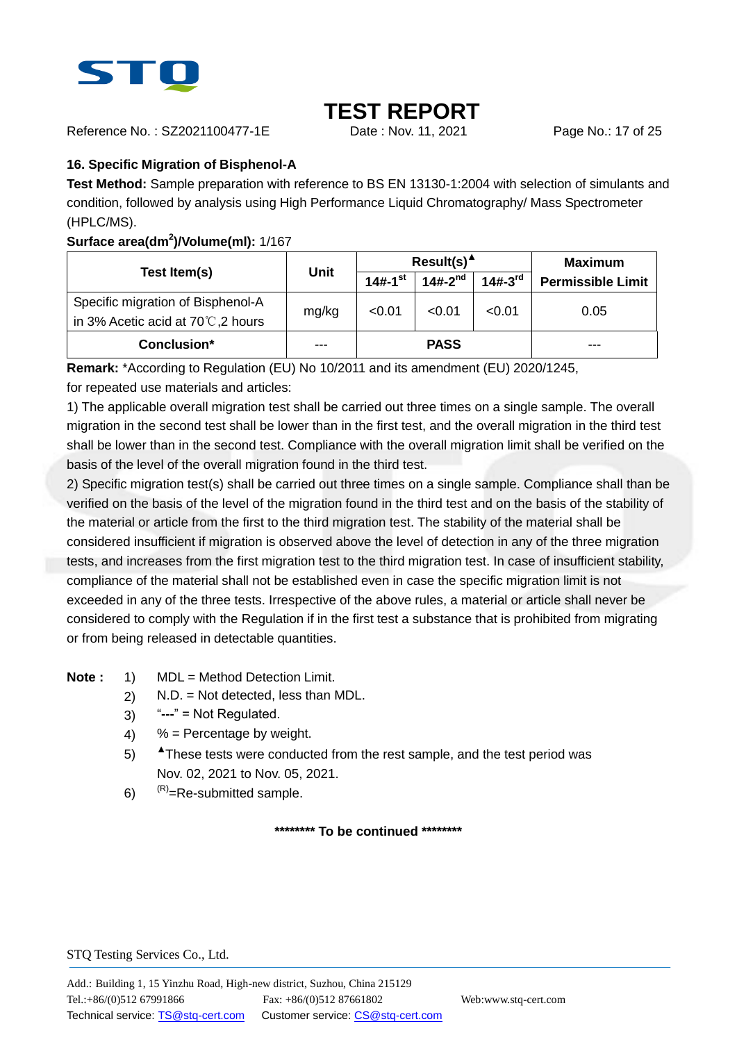

Reference No. : SZ2021100477-1E Date : Nov. 11, 2021 Page No.: 17 of 25

### **16. Specific Migration of Bisphenol-A**

**Test Method:** Sample preparation with reference to BS EN 13130-1:2004 with selection of simulants and condition, followed by analysis using High Performance Liquid Chromatography/ Mass Spectrometer (HPLC/MS).

### **Surface area(dm<sup>2</sup> )/Volume(ml):** 1/167

|                                              | <b>Unit</b> |                         | $Result(s)^A$ | Maximum      |                          |
|----------------------------------------------|-------------|-------------------------|---------------|--------------|--------------------------|
| Test Item(s)                                 |             | $14# - 1$ <sup>st</sup> | $14#-2^{nd}$  | $14#-3^{rd}$ | <b>Permissible Limit</b> |
| Specific migration of Bisphenol-A            |             | < 0.01                  | < 0.01        | < 0.01       | 0.05                     |
| in 3% Acetic acid at 70 $\degree$ C, 2 hours | mg/kg       |                         |               |              |                          |
| Conclusion*                                  | $- - -$     |                         | <b>PASS</b>   |              | ---                      |

**Remark:** \*According to Regulation (EU) No 10/2011 and its amendment (EU) 2020/1245, for repeated use materials and articles:

1) The applicable overall migration test shall be carried out three times on a single sample. The overall migration in the second test shall be lower than in the first test, and the overall migration in the third test shall be lower than in the second test. Compliance with the overall migration limit shall be verified on the basis of the level of the overall migration found in the third test.

2) Specific migration test(s) shall be carried out three times on a single sample. Compliance shall than be verified on the basis of the level of the migration found in the third test and on the basis of the stability of the material or article from the first to the third migration test. The stability of the material shall be considered insufficient if migration is observed above the level of detection in any of the three migration tests, and increases from the first migration test to the third migration test. In case of insufficient stability, compliance of the material shall not be established even in case the specific migration limit is not exceeded in any of the three tests. Irrespective of the above rules, a material or article shall never be considered to comply with the Regulation if in the first test a substance that is prohibited from migrating or from being released in detectable quantities.

### **Note :** 1) MDL = Method Detection Limit.

- 2) N.D. = Not detected, less than MDL.
- 3) "**---**" = Not Regulated.
- 4)  $%$  = Percentage by weight.
- 5) ▲These tests were conducted from the rest sample, and the test period was Nov. 02, 2021 to Nov. 05, 2021.
- 6)  $(R)$  = Re-submitted sample.

**\*\*\*\*\*\*\*\* To be continued \*\*\*\*\*\*\*\***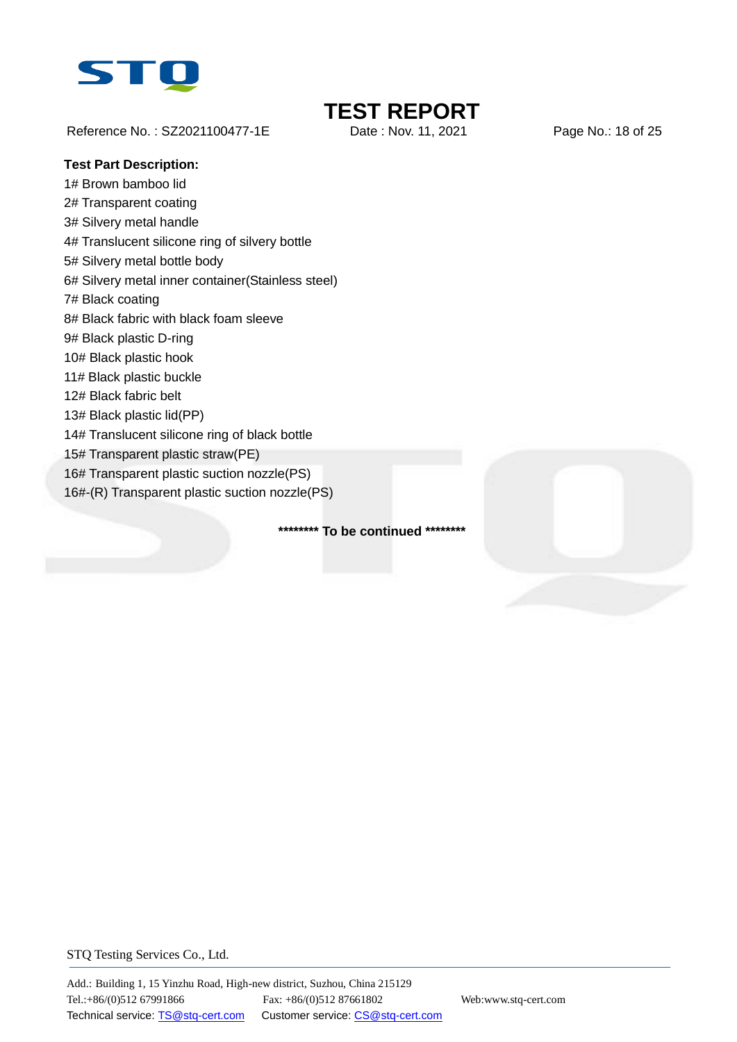

Reference No.: SZ2021100477-1E Date: Nov. 11, 2021 Page No.: 18 of 25

#### **Test Part Description:**

1# Brown bamboo lid 2# Transparent coating 3# Silvery metal handle 4# Translucent silicone ring of silvery bottle 5# Silvery metal bottle body 6# Silvery metal inner container(Stainless steel) 7# Black coating 8# Black fabric with black foam sleeve 9# Black plastic D-ring 10# Black plastic hook 11# Black plastic buckle 12# Black fabric belt 13# Black plastic lid(PP) 14# Translucent silicone ring of black bottle 15# Transparent plastic straw(PE) 16# Transparent plastic suction nozzle(PS) 16#-(R) Transparent plastic suction nozzle(PS)

**\*\*\*\*\*\*\*\* To be continued \*\*\*\*\*\*\*\***

## STQ Testing Services Co., Ltd.



**TEST REPORT**<br>Date : Nov. 11, 2021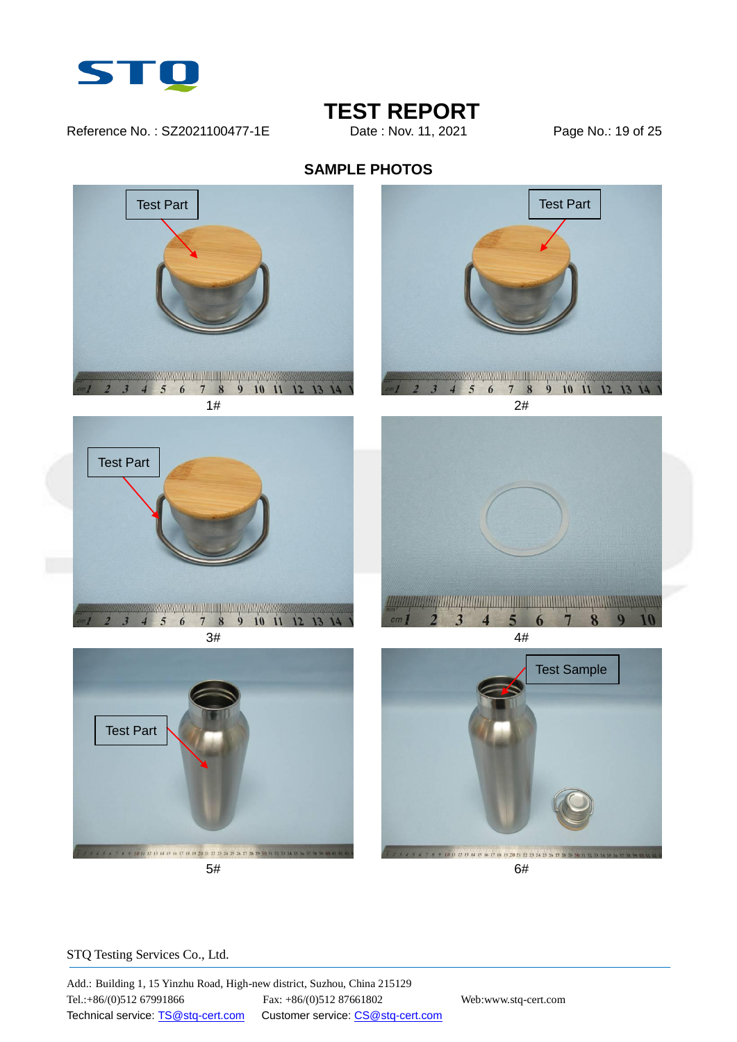

Reference No.: SZ2021100477-1E Date: Nov. 11, 2021 Page No.: 19 of 25

## **TEST REPORT**<br>Date : Nov. 11. 2021











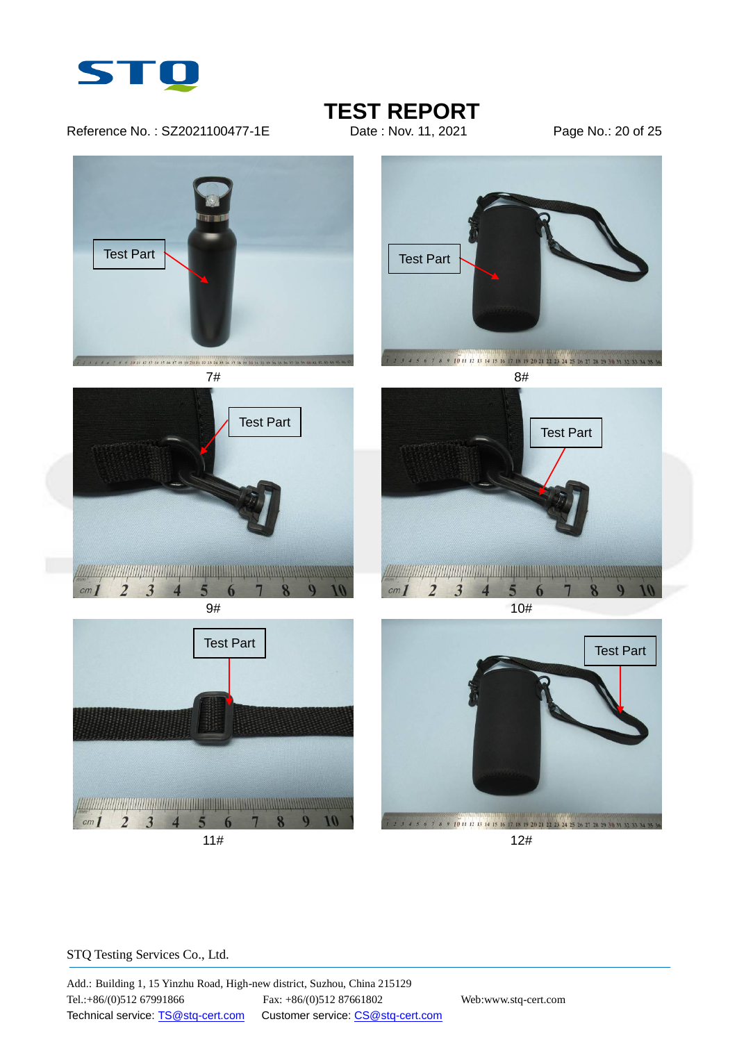

Reference No.: SZ2021100477-1E Date: Nov. 11, 2021 Page No.: 20 of 25

## **TEST REPORT**<br>Date : Nov. 11. 2021









4 5 6 7 8 9 10 11 12 13 14 15 16 17 18 19 20 21 22 23 24 25 26 27 28 29





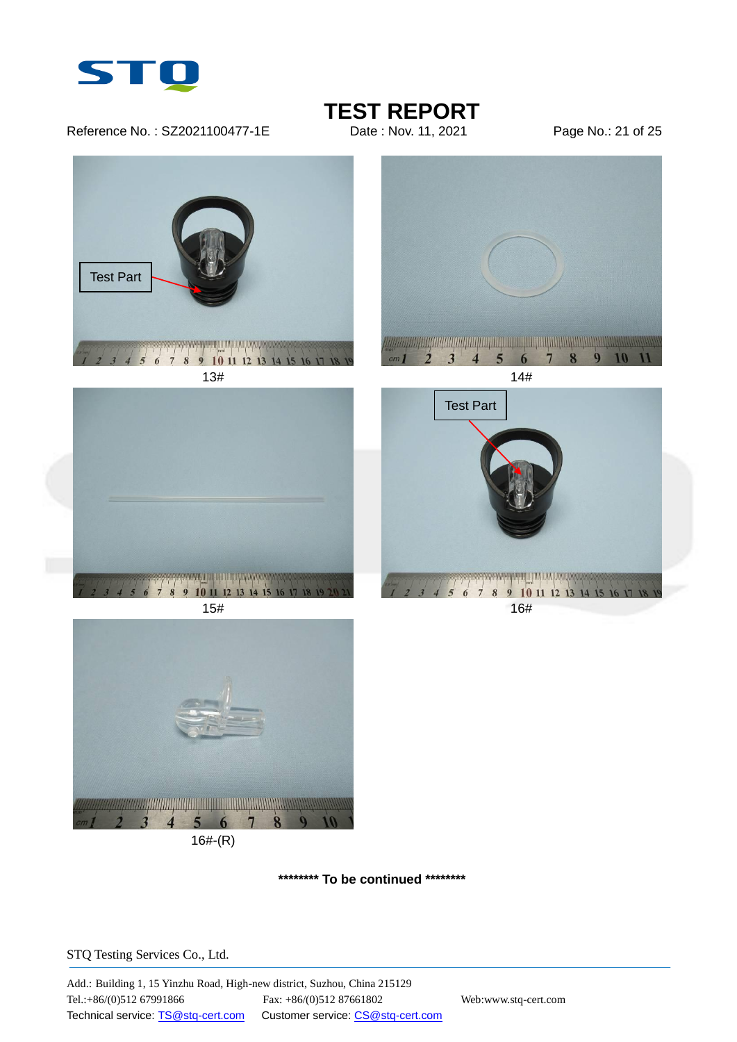

Reference No.: SZ2021100477-1E Date: Nov. 11, 2021 Page No.: 21 of 25

**TEST REPORT**<br>Date : Nov. 11. 2021



**\*\*\*\*\*\*\*\* To be continued \*\*\*\*\*\*\*\***

STQ Testing Services Co., Ltd.

16#-(R)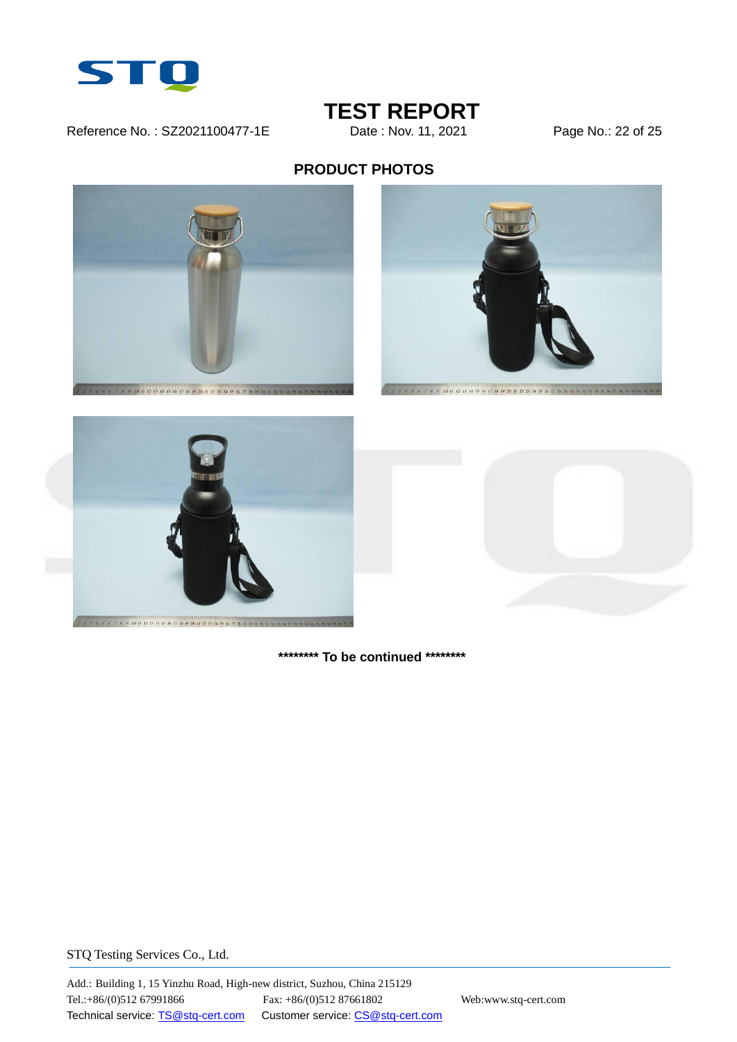

### Reference No.: SZ2021100477-1E Date: Nov. 11, 2021 Page No.: 22 of 25

# **TEST REPORT**<br>Date : Nov. 11, 2021

### **PRODUCT PHOTOS**









**\*\*\*\*\*\*\*\* To be continued \*\*\*\*\*\*\*\***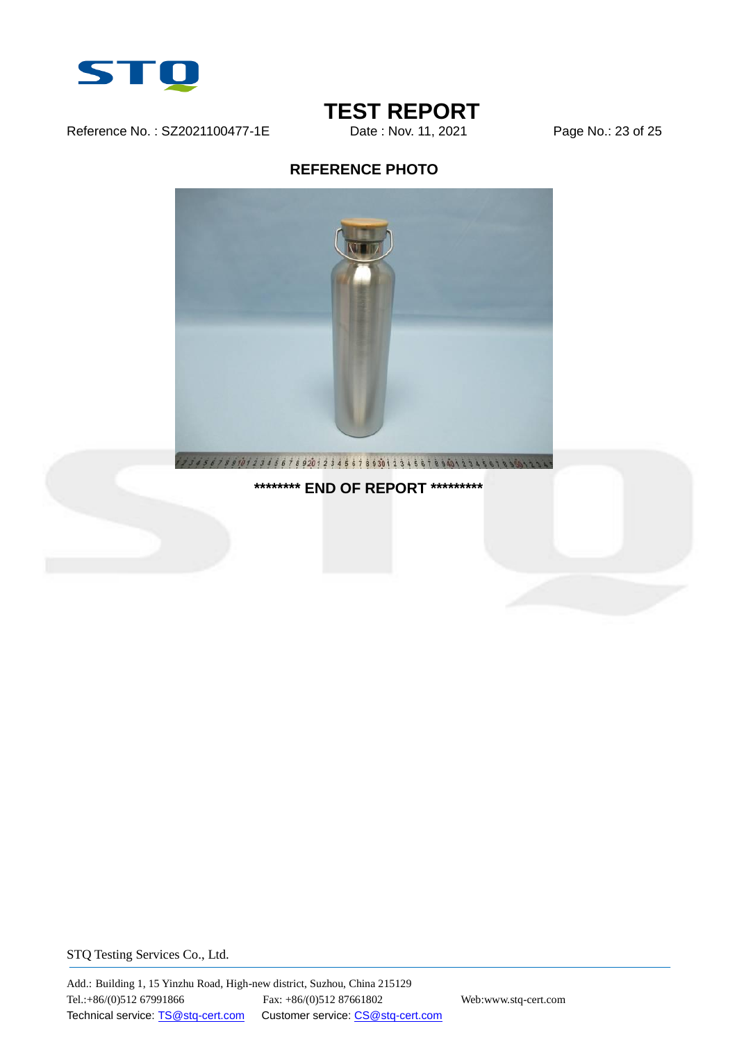

Reference No.: SZ2021100477-1E Date: Nov. 11, 2021 Page No.: 23 of 25

# **TEST REPORT**<br>Date : Nov. 11, 2021

### **REFERENCE PHOTO**



**\*\*\*\*\*\*\*\* END OF REPORT \*\*\*\*\*\*\*\*\***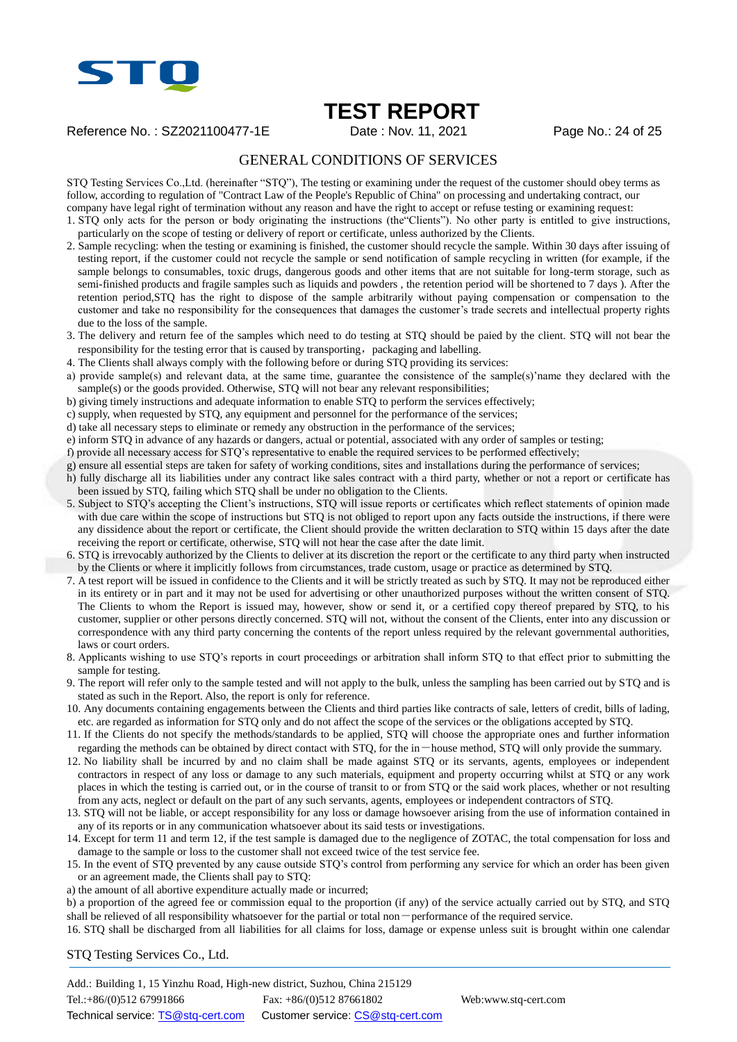

### **TEST REPORT**

Reference No. : SZ2021100477-1E Date : Nov. 11, 2021 Page No.: 24 of 25

### GENERAL CONDITIONS OF SERVICES

STQ Testing Services Co.,Ltd. (hereinafter "STQ"), The testing or examining under the request of the customer should obey terms as follow, according to regulation of "Contract Law of the People's Republic of China" on processing and undertaking contract, our company have legal right of termination without any reason and have the right to accept or refuse testing or examining request:

- 1. STQ only acts for the person or body originating the instructions (the"Clients"). No other party is entitled to give instructions, particularly on the scope of testing or delivery of report or certificate, unless authorized by the Clients.
- 2. Sample recycling: when the testing or examining is finished, the customer should recycle the sample. Within 30 days after issuing of testing report, if the customer could not recycle the sample or send notification of sample recycling in written (for example, if the sample belongs to consumables, toxic drugs, dangerous goods and other items that are not suitable for long-term storage, such as semi-finished products and fragile samples such as liquids and powders , the retention period will be shortened to 7 days ). After the retention period,STQ has the right to dispose of the sample arbitrarily without paying compensation or compensation to the customer and take no responsibility for the consequences that damages the customer's trade secrets and intellectual property rights due to the loss of the sample.
- 3. The delivery and return fee of the samples which need to do testing at STQ should be paied by the client. STQ will not bear the responsibility for the testing error that is caused by transporting, packaging and labelling.
- 4. The Clients shall always comply with the following before or during STQ providing its services:
- a) provide sample(s) and relevant data, at the same time, guarantee the consistence of the sample(s)'name they declared with the sample(s) or the goods provided. Otherwise, STO will not bear any relevant responsibilities;
- b) giving timely instructions and adequate information to enable STQ to perform the services effectively;
- c) supply, when requested by STQ, any equipment and personnel for the performance of the services;
- d) take all necessary steps to eliminate or remedy any obstruction in the performance of the services;
- e) inform STQ in advance of any hazards or dangers, actual or potential, associated with any order of samples or testing;
- f) provide all necessary access for STQ's representative to enable the required services to be performed effectively;
- g) ensure all essential steps are taken for safety of working conditions, sites and installations during the performance of services;
- h) fully discharge all its liabilities under any contract like sales contract with a third party, whether or not a report or certificate has been issued by STQ, failing which STQ shall be under no obligation to the Clients.
- 5. Subject to STQ's accepting the Client's instructions, STQ will issue reports or certificates which reflect statements of opinion made with due care within the scope of instructions but STQ is not obliged to report upon any facts outside the instructions, if there were any dissidence about the report or certificate, the Client should provide the written declaration to STQ within 15 days after the date receiving the report or certificate, otherwise, STQ will not hear the case after the date limit.
- 6. STQ is irrevocably authorized by the Clients to deliver at its discretion the report or the certificate to any third party when instructed by the Clients or where it implicitly follows from circumstances, trade custom, usage or practice as determined by STQ.
- 7. A test report will be issued in confidence to the Clients and it will be strictly treated as such by STQ. It may not be reproduced either in its entirety or in part and it may not be used for advertising or other unauthorized purposes without the written consent of STQ. The Clients to whom the Report is issued may, however, show or send it, or a certified copy thereof prepared by STQ, to his customer, supplier or other persons directly concerned. STQ will not, without the consent of the Clients, enter into any discussion or correspondence with any third party concerning the contents of the report unless required by the relevant governmental authorities, laws or court orders.
- 8. Applicants wishing to use STQ's reports in court proceedings or arbitration shall inform STQ to that effect prior to submitting the sample for testing.
- 9. The report will refer only to the sample tested and will not apply to the bulk, unless the sampling has been carried out by STQ and is stated as such in the Report. Also, the report is only for reference.
- 10. Any documents containing engagements between the Clients and third parties like contracts of sale, letters of credit, bills of lading, etc. are regarded as information for STQ only and do not affect the scope of the services or the obligations accepted by STQ.
- 11. If the Clients do not specify the methods/standards to be applied, STQ will choose the appropriate ones and further information regarding the methods can be obtained by direct contact with STQ, for the in-house method, STQ will only provide the summary.
- 12. No liability shall be incurred by and no claim shall be made against STQ or its servants, agents, employees or independent contractors in respect of any loss or damage to any such materials, equipment and property occurring whilst at STQ or any work places in which the testing is carried out, or in the course of transit to or from STQ or the said work places, whether or not resulting from any acts, neglect or default on the part of any such servants, agents, employees or independent contractors of STQ.
- 13. STQ will not be liable, or accept responsibility for any loss or damage howsoever arising from the use of information contained in any of its reports or in any communication whatsoever about its said tests or investigations.
- 14. Except for term 11 and term 12, if the test sample is damaged due to the negligence of ZOTAC, the total compensation for loss and damage to the sample or loss to the customer shall not exceed twice of the test service fee.
- 15. In the event of STQ prevented by any cause outside STQ's control from performing any service for which an order has been given or an agreement made, the Clients shall pay to STQ:
- a) the amount of all abortive expenditure actually made or incurred;
- b) a proportion of the agreed fee or commission equal to the proportion (if any) of the service actually carried out by STQ, and STQ shall be relieved of all responsibility whatsoever for the partial or total non-performance of the required service.
- 16. STQ shall be discharged from all liabilities for all claims for loss, damage or expense unless suit is brought within one calendar

STQ Testing Services Co., Ltd.

Add.: Building 1, 15 Yinzhu Road, High-new district, Suzhou, China 215129 Tel.:+86/(0)512 67991866 Fax: +86/(0)512 87661802 Web:www.stq-cert.com Technical service: TS@stq-cert.com Customer service: CS@stq-cert.com